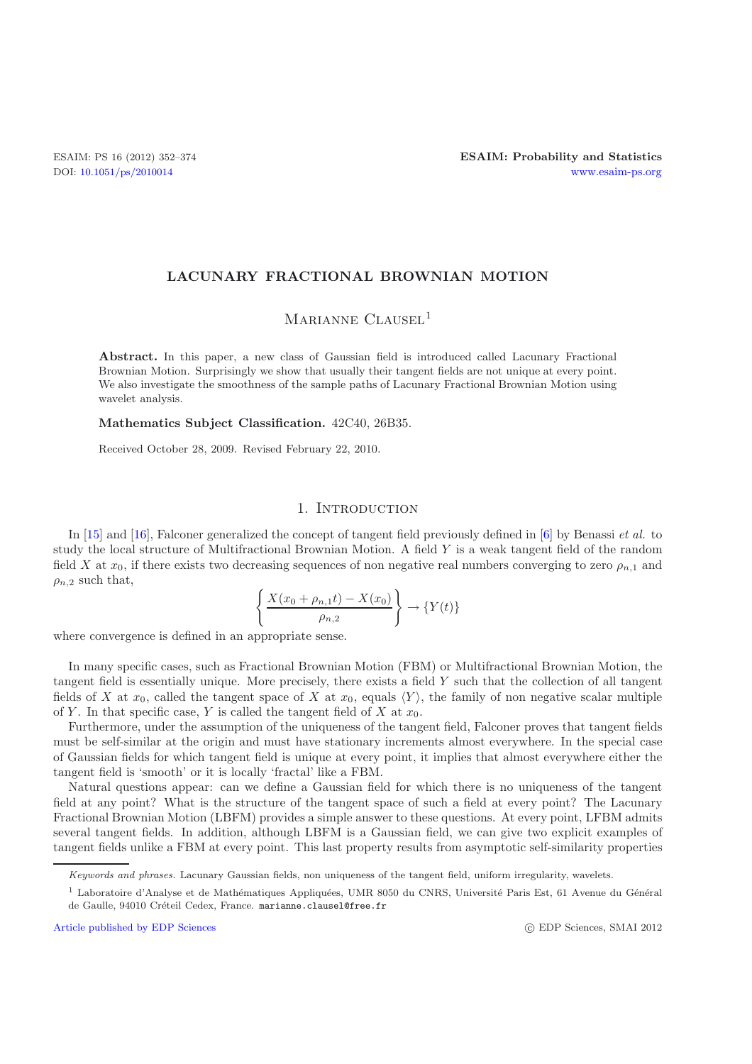## **LACUNARY FRACTIONAL BROWNIAN MOTION**

# MARIANNE CLAUSEL<sup>1</sup>

**Abstract.** In this paper, a new class of Gaussian field is introduced called Lacunary Fractional Brownian Motion. Surprisingly we show that usually their tangent fields are not unique at every point. We also investigate the smoothness of the sample paths of Lacunary Fractional Brownian Motion using wavelet analysis.

**Mathematics Subject Classification.** 42C40, 26B35.

Received October 28, 2009. Revised February 22, 2010.

## 1. INTRODUCTION

In [\[15\]](#page-21-0) and [\[16\]](#page-21-1), Falconer generalized the concept of tangent field previously defined in [\[6\]](#page-21-2) by Benassi *et al.* to study the local structure of Multifractional Brownian Motion. A field Y is a weak tangent field of the random field X at  $x_0$ , if there exists two decreasing sequences of non negative real numbers converging to zero  $\rho_{n,1}$  and  $\rho_{n,2}$  such that,

$$
\left\{\frac{X(x_0+\rho_{n,1}t)-X(x_0)}{\rho_{n,2}}\right\} \to \left\{Y(t)\right\}
$$

where convergence is defined in an appropriate sense.

In many specific cases, such as Fractional Brownian Motion (FBM) or Multifractional Brownian Motion, the tangent field is essentially unique. More precisely, there exists a field Y such that the collection of all tangent fields of X at  $x_0$ , called the tangent space of X at  $x_0$ , equals  $\langle Y \rangle$ , the family of non negative scalar multiple of Y. In that specific case, Y is called the tangent field of X at  $x_0$ .

Furthermore, under the assumption of the uniqueness of the tangent field, Falconer proves that tangent fields must be self-similar at the origin and must have stationary increments almost everywhere. In the special case of Gaussian fields for which tangent field is unique at every point, it implies that almost everywhere either the tangent field is 'smooth' or it is locally 'fractal' like a FBM.

Natural questions appear: can we define a Gaussian field for which there is no uniqueness of the tangent field at any point? What is the structure of the tangent space of such a field at every point? The Lacunary Fractional Brownian Motion (LBFM) provides a simple answer to these questions. At every point, LFBM admits several tangent fields. In addition, although LBFM is a Gaussian field, we can give two explicit examples of tangent fields unlike a FBM at every point. This last property results from asymptotic self-similarity properties

[Article published by EDP Sciences](http://www.edpsciences.org)

*Keywords and phrases.* Lacunary Gaussian fields, non uniqueness of the tangent field, uniform irregularity, wavelets.

<sup>&</sup>lt;sup>1</sup> Laboratoire d'Analyse et de Mathématiques Appliquées, UMR 8050 du CNRS, Université Paris Est, 61 Avenue du Général de Gaulle, 94010 Créteil Cedex, France. marianne.clausel@free.fr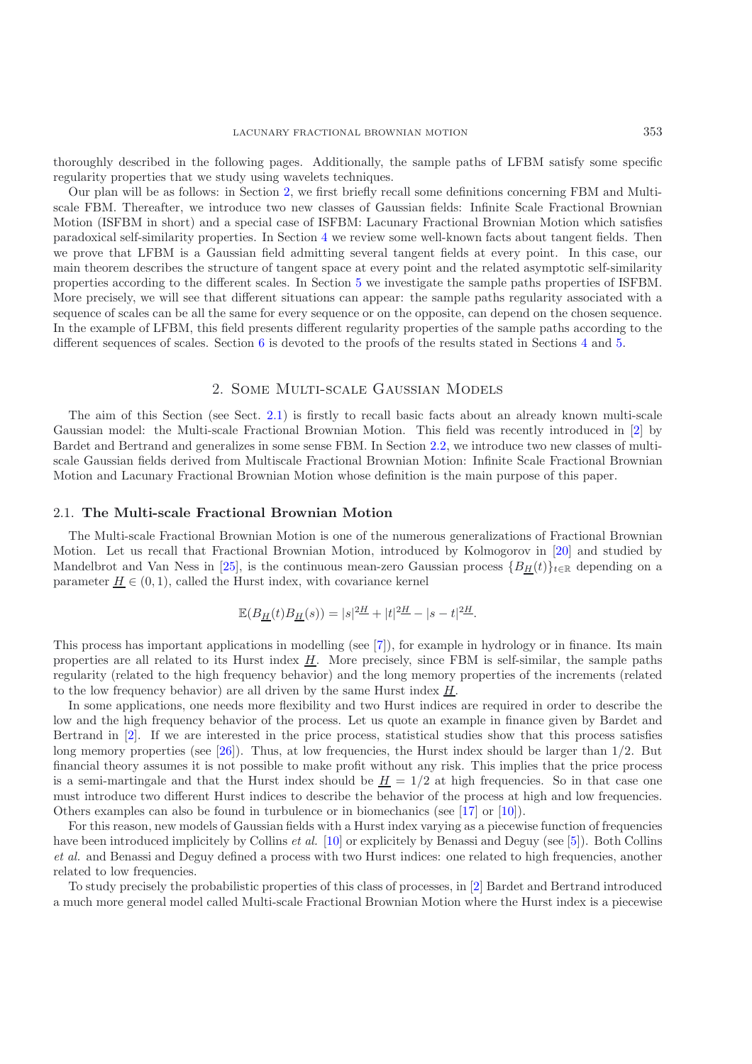thoroughly described in the following pages. Additionally, the sample paths of LFBM satisfy some specific regularity properties that we study using wavelets techniques.

Our plan will be as follows: in Section [2,](#page-1-0) we first briefly recall some definitions concerning FBM and Multiscale FBM. Thereafter, we introduce two new classes of Gaussian fields: Infinite Scale Fractional Brownian Motion (ISFBM in short) and a special case of ISFBM: Lacunary Fractional Brownian Motion which satisfies paradoxical self-similarity properties. In Section [4](#page-6-0) we review some well-known facts about tangent fields. Then we prove that LFBM is a Gaussian field admitting several tangent fields at every point. In this case, our main theorem describes the structure of tangent space at every point and the related asymptotic self-similarity properties according to the different scales. In Section [5](#page-9-0) we investigate the sample paths properties of ISFBM. More precisely, we will see that different situations can appear: the sample paths regularity associated with a sequence of scales can be all the same for every sequence or on the opposite, can depend on the chosen sequence. In the example of LFBM, this field presents different regularity properties of the sample paths according to the different sequences of scales. Section [6](#page-15-0) is devoted to the proofs of the results stated in Sections [4](#page-6-0) and [5.](#page-9-0)

## 2. Some Multi-scale Gaussian Models

<span id="page-1-0"></span>The aim of this Section (see Sect. [2.1\)](#page-1-1) is firstly to recall basic facts about an already known multi-scale Gaussian model: the Multi-scale Fractional Brownian Motion. This field was recently introduced in [\[2](#page-21-3)] by Bardet and Bertrand and generalizes in some sense FBM. In Section [2.2,](#page-2-0) we introduce two new classes of multiscale Gaussian fields derived from Multiscale Fractional Brownian Motion: Infinite Scale Fractional Brownian Motion and Lacunary Fractional Brownian Motion whose definition is the main purpose of this paper.

#### <span id="page-1-1"></span>2.1. **The Multi-scale Fractional Brownian Motion**

The Multi-scale Fractional Brownian Motion is one of the numerous generalizations of Fractional Brownian Motion. Let us recall that Fractional Brownian Motion, introduced by Kolmogorov in [\[20\]](#page-22-0) and studied by Mandelbrot and Van Ness in [\[25](#page-22-1)], is the continuous mean-zero Gaussian process  ${B_H(t)}_{t \in \mathbb{R}}$  depending on a parameter  $H \in (0, 1)$ , called the Hurst index, with covariance kernel

$$
\mathbb{E}(B_H(t)B_H(s)) = |s|^2 \frac{H}{s} + |t|^2 \frac{H}{s} - |s - t|^2 \frac{H}{s}.
$$

This process has important applications in modelling (see [\[7](#page-21-4)]), for example in hydrology or in finance. Its main properties are all related to its Hurst index  $\underline{H}$ . More precisely, since FBM is self-similar, the sample paths regularity (related to the high frequency behavior) and the long memory properties of the increments (related to the low frequency behavior) are all driven by the same Hurst index  $H$ .

In some applications, one needs more flexibility and two Hurst indices are required in order to describe the low and the high frequency behavior of the process. Let us quote an example in finance given by Bardet and Bertrand in [\[2](#page-21-3)]. If we are interested in the price process, statistical studies show that this process satisfies long memory properties (see [\[26\]](#page-22-2)). Thus, at low frequencies, the Hurst index should be larger than  $1/2$ . But financial theory assumes it is not possible to make profit without any risk. This implies that the price process is a semi-martingale and that the Hurst index should be  $H = 1/2$  at high frequencies. So in that case one must introduce two different Hurst indices to describe the behavior of the process at high and low frequencies. Others examples can also be found in turbulence or in biomechanics (see [\[17\]](#page-22-3) or [\[10\]](#page-21-5)).

For this reason, new models of Gaussian fields with a Hurst index varying as a piecewise function of frequencies have been introduced implicitely by Collins *et al.* [\[10\]](#page-21-5) or explicitely by Benassi and Deguy (see [\[5](#page-21-6)]). Both Collins *et al.* and Benassi and Deguy defined a process with two Hurst indices: one related to high frequencies, another related to low frequencies.

To study precisely the probabilistic properties of this class of processes, in [\[2\]](#page-21-3) Bardet and Bertrand introduced a much more general model called Multi-scale Fractional Brownian Motion where the Hurst index is a piecewise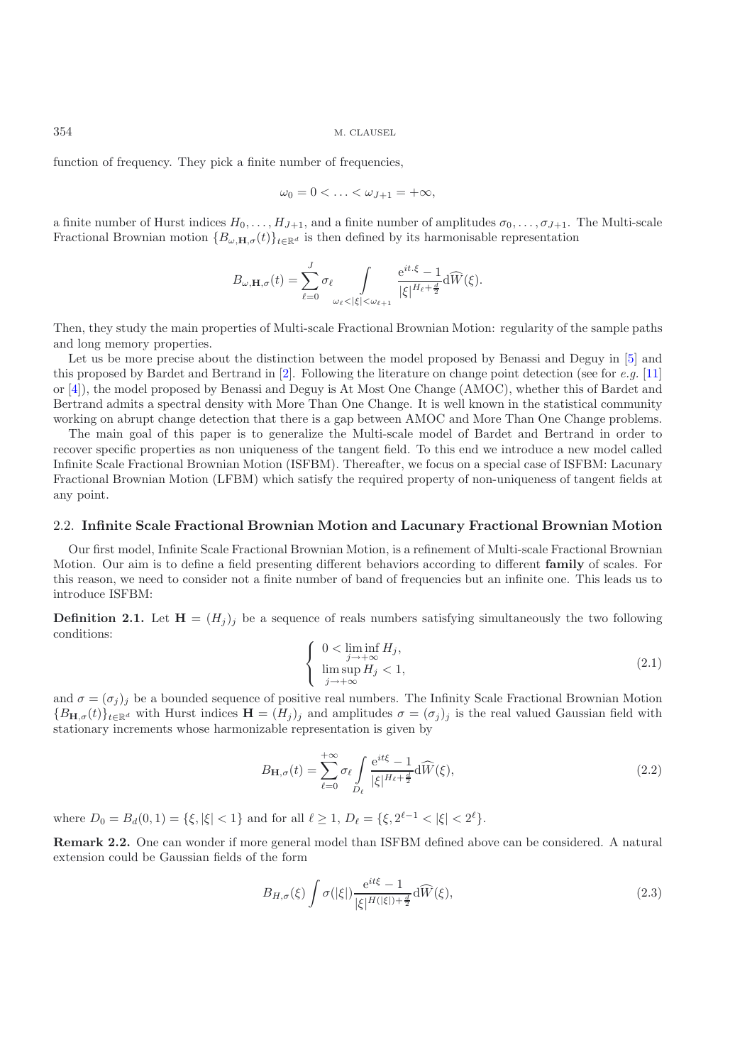function of frequency. They pick a finite number of frequencies,

$$
\omega_0=0<\ldots<\omega_{J+1}=+\infty,
$$

a finite number of Hurst indices  $H_0, \ldots, H_{J+1}$ , and a finite number of amplitudes  $\sigma_0, \ldots, \sigma_{J+1}$ . The Multi-scale Fractional Brownian motion  ${B_{\omega,\mathbf{H},\sigma}(t)}_{t\in\mathbb{R}^d}$  is then defined by its harmonisable representation

$$
B_{\omega,\mathbf{H},\sigma}(t) = \sum_{\ell=0}^{J} \sigma_{\ell} \int_{\omega_{\ell} < |\xi| < \omega_{\ell+1}} \frac{e^{it.\xi} - 1}{|\xi|^{H_{\ell} + \frac{d}{2}}} d\widehat{W}(\xi).
$$

Then, they study the main properties of Multi-scale Fractional Brownian Motion: regularity of the sample paths and long memory properties.

Let us be more precise about the distinction between the model proposed by Benassi and Deguy in [\[5\]](#page-21-6) and this proposed by Bardet and Bertrand in [\[2\]](#page-21-3). Following the literature on change point detection (see for *e.g.* [\[11](#page-21-7)] or [\[4\]](#page-21-8)), the model proposed by Benassi and Deguy is At Most One Change (AMOC), whether this of Bardet and Bertrand admits a spectral density with More Than One Change. It is well known in the statistical community working on abrupt change detection that there is a gap between AMOC and More Than One Change problems.

The main goal of this paper is to generalize the Multi-scale model of Bardet and Bertrand in order to recover specific properties as non uniqueness of the tangent field. To this end we introduce a new model called Infinite Scale Fractional Brownian Motion (ISFBM). Thereafter, we focus on a special case of ISFBM: Lacunary Fractional Brownian Motion (LFBM) which satisfy the required property of non-uniqueness of tangent fields at any point.

#### <span id="page-2-0"></span>2.2. **Infinite Scale Fractional Brownian Motion and Lacunary Fractional Brownian Motion**

Our first model, Infinite Scale Fractional Brownian Motion, is a refinement of Multi-scale Fractional Brownian Motion. Our aim is to define a field presenting different behaviors according to different **family** of scales. For this reason, we need to consider not a finite number of band of frequencies but an infinite one. This leads us to introduce ISFBM:

**Definition 2.1.** Let  $\mathbf{H} = (H_i)_i$  be a sequence of reals numbers satisfying simultaneously the two following conditions:

$$
\begin{cases}\n0 < \liminf_{j \to +\infty} H_j, \\
\limsup_{j \to +\infty} H_j < 1,\n\end{cases}
$$
\n(2.1)

and  $\sigma = (\sigma_i)_i$  be a bounded sequence of positive real numbers. The Infinity Scale Fractional Brownian Motion  ${B_{\mathbf{H},\sigma}(t)}_{t\in\mathbb{R}^d}$  with Hurst indices  $\mathbf{H} = (H_j)_j$  and amplitudes  $\sigma = (\sigma_j)_j$  is the real valued Gaussian field with stationary increments whose harmonizable representation is given by

<span id="page-2-2"></span>
$$
B_{\mathbf{H},\sigma}(t) = \sum_{\ell=0}^{+\infty} \sigma_{\ell} \int_{D_{\ell}} \frac{e^{it\xi} - 1}{|\xi|^{H_{\ell} + \frac{d}{2}}} d\widehat{W}(\xi), \tag{2.2}
$$

where  $D_0 = B_d(0, 1) = \{\xi, |\xi| < 1\}$  and for all  $\ell \geq 1$ ,  $D_\ell = \{\xi, 2^{\ell-1} < |\xi| < 2^{\ell}\}.$ 

**Remark 2.2.** One can wonder if more general model than ISFBM defined above can be considered. A natural extension could be Gaussian fields of the form

<span id="page-2-1"></span>
$$
B_{H,\sigma}(\xi) \int \sigma(|\xi|) \frac{e^{it\xi} - 1}{|\xi|^{H(|\xi|) + \frac{d}{2}}} d\widehat{W}(\xi),\tag{2.3}
$$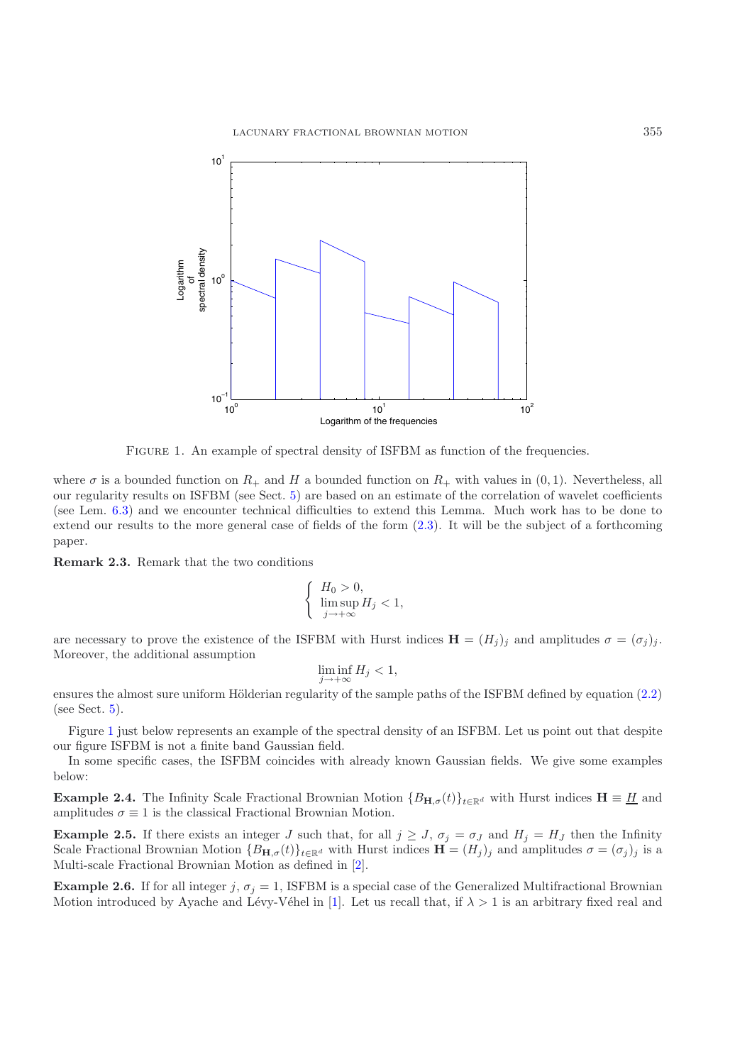

<span id="page-3-0"></span>Figure 1. An example of spectral density of ISFBM as function of the frequencies.

where  $\sigma$  is a bounded function on  $R_+$  and H a bounded function on  $R_+$  with values in  $(0, 1)$ . Nevertheless, all our regularity results on ISFBM (see Sect. [5\)](#page-9-0) are based on an estimate of the correlation of wavelet coefficients (see Lem. [6.3\)](#page-17-0) and we encounter technical difficulties to extend this Lemma. Much work has to be done to extend our results to the more general case of fields of the form [\(2.3\)](#page-2-1). It will be the subject of a forthcoming paper.

**Remark 2.3.** Remark that the two conditions

$$
\begin{cases}\nH_0 > 0, \\
\limsup_{j \to +\infty} H_j < 1,\n\end{cases}
$$

are necessary to prove the existence of the ISFBM with Hurst indices  $\mathbf{H} = (H_j)_j$  and amplitudes  $\sigma = (\sigma_j)_j$ . Moreover, the additional assumption

$$
\liminf_{j \to +\infty} H_j < 1,
$$

ensures the almost sure uniform Hölderian regularity of the sample paths of the ISFBM defined by equation [\(2.2\)](#page-2-2) (see Sect.  $5$ ).

Figure [1](#page-3-0) just below represents an example of the spectral density of an ISFBM. Let us point out that despite our figure ISFBM is not a finite band Gaussian field.

In some specific cases, the ISFBM coincides with already known Gaussian fields. We give some examples below:

**Example 2.4.** The Infinity Scale Fractional Brownian Motion  ${B_{\mathbf{H},\sigma}(t)}_{t\in\mathbb{R}^d}$  with Hurst indices  $\mathbf{H} \equiv \underline{H}$  and amplitudes  $\sigma \equiv 1$  is the classical Fractional Brownian Motion.

**Example 2.5.** If there exists an integer J such that, for all  $j \geq J$ ,  $\sigma_j = \sigma_j$  and  $H_j = H_j$  then the Infinity Scale Fractional Brownian Motion  ${B_{\mathbf{H},\sigma}(t)}_{t\in\mathbb{R}^d}$  with Hurst indices  $\mathbf{H} = (H_j)_j$  and amplitudes  $\sigma = (\sigma_j)_j$  is a Multi-scale Fractional Brownian Motion as defined in [\[2](#page-21-3)].

**Example 2.6.** If for all integer j,  $\sigma_j = 1$ , ISFBM is a special case of the Generalized Multifractional Brownian Motion introduced by Ayache and Lévy-Véhel in [\[1](#page-21-9)]. Let us recall that, if  $\lambda > 1$  is an arbitrary fixed real and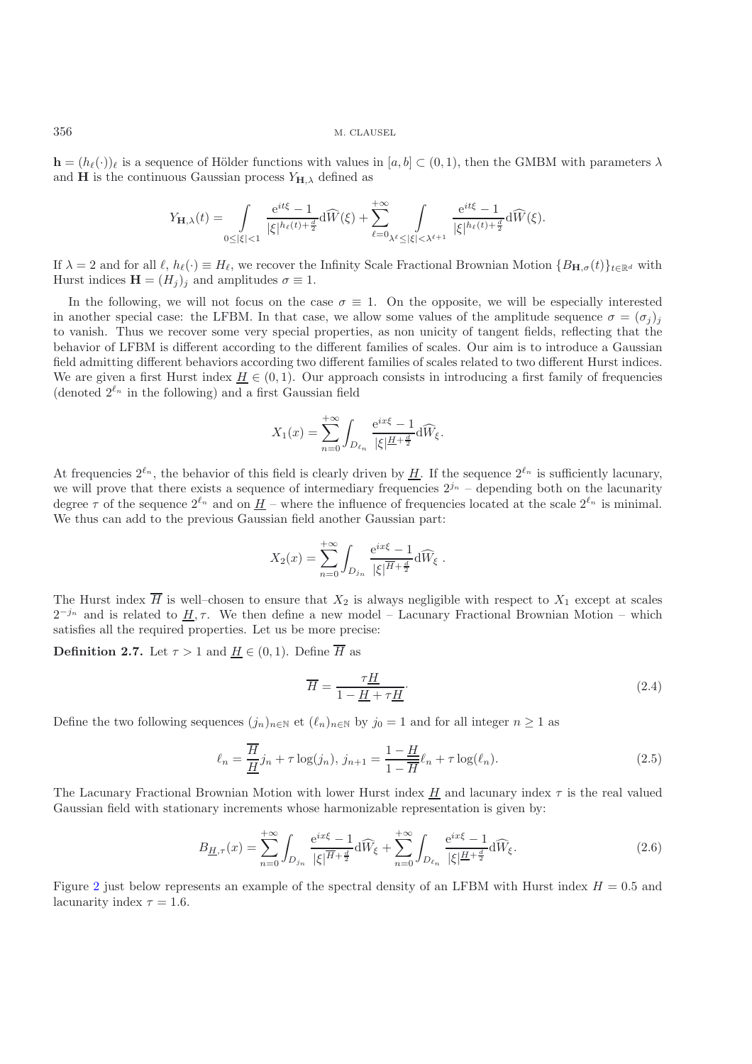$\mathbf{h} = (h_{\ell}(\cdot))_{\ell}$  is a sequence of Hölder functions with values in  $[a, b] \subset (0, 1)$ , then the GMBM with parameters  $\lambda$ and **H** is the continuous Gaussian process  $Y_{\mathbf{H},\lambda}$  defined as

$$
Y_{\mathbf{H},\lambda}(t)=\int\limits_{0\leq|\xi|<1}\frac{\mathrm{e}^{it\xi}-1}{|\xi|^{h_{\ell}(t)+\frac{d}{2}}}\mathrm{d}\widehat{W}(\xi)+\sum\limits_{\ell=0}^{+\infty}\int\limits_{\lambda^{\ell}\leq|\xi|<\lambda^{\ell+1}}\frac{\mathrm{e}^{it\xi}-1}{|\xi|^{h_{\ell}(t)+\frac{d}{2}}}\mathrm{d}\widehat{W}(\xi).
$$

If  $\lambda = 2$  and for all  $\ell$ ,  $h_{\ell}(\cdot) \equiv H_{\ell}$ , we recover the Infinity Scale Fractional Brownian Motion  $\{B_{\mathbf{H},\sigma}(t)\}_{t\in\mathbb{R}^d}$  with Hurst indices  $\mathbf{H} = (H_j)_j$  and amplitudes  $\sigma \equiv 1$ .

In the following, we will not focus on the case  $\sigma \equiv 1$ . On the opposite, we will be especially interested in another special case: the LFBM. In that case, we allow some values of the amplitude sequence  $\sigma = (\sigma_i)_i$ to vanish. Thus we recover some very special properties, as non unicity of tangent fields, reflecting that the behavior of LFBM is different according to the different families of scales. Our aim is to introduce a Gaussian field admitting different behaviors according two different families of scales related to two different Hurst indices. We are given a first Hurst index  $\underline{H} \in (0,1)$ . Our approach consists in introducing a first family of frequencies (denoted  $2^{\ell_n}$  in the following) and a first Gaussian field

$$
X_1(x) = \sum_{n=0}^{+\infty} \int_{D_{\ell_n}} \frac{e^{ix\xi} - 1}{|\xi|^{H + \frac{d}{2}}} d\widehat{W}_{\xi}.
$$

At frequencies  $2^{\ell_n}$ , the behavior of this field is clearly driven by H. If the sequence  $2^{\ell_n}$  is sufficiently lacunary, we will prove that there exists a sequence of intermediary frequencies  $2^{j_n}$  – depending both on the lacunarity degree  $\tau$  of the sequence  $2^{\ell_n}$  and on  $\underline{H}$  – where the influence of frequencies located at the scale  $2^{\ell_n}$  is minimal. We thus can add to the previous Gaussian field another Gaussian part:

$$
X_2(x) = \sum_{n=0}^{+\infty} \int_{D_{j_n}} \frac{e^{ix\xi} - 1}{|\xi|^{\overline{H} + \frac{d}{2}}} d\widehat{W}_{\xi}.
$$

The Hurst index  $\overline{H}$  is well–chosen to ensure that  $X_2$  is always negligible with respect to  $X_1$  except at scales  $2^{-j_n}$  and is related to  $\underline{H}, \tau$ . We then define a new model – Lacunary Fractional Brownian Motion – which satisfies all the required properties. Let us be more precise:

**Definition 2.7.** Let  $\tau > 1$  and  $\underline{H} \in (0,1)$ . Define  $\overline{H}$  as

$$
\overline{H} = \frac{\tau \underline{H}}{1 - \underline{H} + \tau \underline{H}}.\tag{2.4}
$$

Define the two following sequences  $(j_n)_{n\in\mathbb{N}}$  et  $(\ell_n)_{n\in\mathbb{N}}$  by  $j_0 = 1$  and for all integer  $n \geq 1$  as

$$
\ell_n = \frac{\overline{H}}{\underline{H}} j_n + \tau \log(j_n), \ j_{n+1} = \frac{1 - \underline{H}}{1 - \overline{H}} \ell_n + \tau \log(\ell_n). \tag{2.5}
$$

<span id="page-4-1"></span>The Lacunary Fractional Brownian Motion with lower Hurst index  $H$  and lacunary index  $\tau$  is the real valued Gaussian field with stationary increments whose harmonizable representation is given by:

$$
B_{\underline{H},\tau}(x) = \sum_{n=0}^{+\infty} \int_{D_{j_n}} \frac{e^{ix\xi} - 1}{|\xi|^{\overline{H} + \frac{d}{2}}} d\widehat{W}_{\xi} + \sum_{n=0}^{+\infty} \int_{D_{\ell_n}} \frac{e^{ix\xi} - 1}{|\xi|^{\underline{H} + \frac{d}{2}}} d\widehat{W}_{\xi}.
$$
\n(2.6)

<span id="page-4-0"></span>Figure [2](#page-5-0) just below represents an example of the spectral density of an LFBM with Hurst index  $H = 0.5$  and lacunarity index  $\tau = 1.6$ .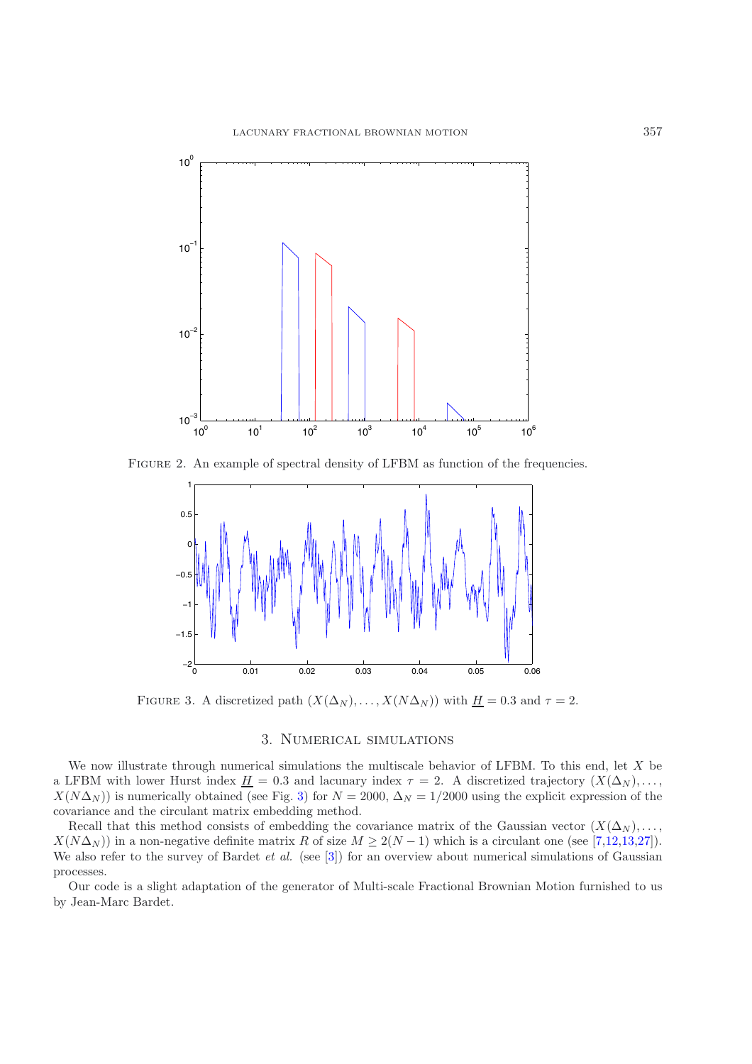

<span id="page-5-0"></span>Figure 2. An example of spectral density of LFBM as function of the frequencies.



<span id="page-5-1"></span>FIGURE 3. A discretized path  $(X(\Delta_N),...,X(N\Delta_N))$  with  $H = 0.3$  and  $\tau = 2$ .

# 3. Numerical simulations

We now illustrate through numerical simulations the multiscale behavior of LFBM. To this end, let X be a LFBM with lower Hurst index  $\underline{H} = 0.3$  and lacunary index  $\tau = 2$ . A discretized trajectory  $(X(\Delta_N), \ldots, \Delta_N)$  $X(N\Delta_N)$ ) is numerically obtained (see Fig. [3\)](#page-5-1) for  $N = 2000$ ,  $\Delta_N = 1/2000$  using the explicit expression of the covariance and the circulant matrix embedding method.

Recall that this method consists of embedding the covariance matrix of the Gaussian vector  $(X(\Delta_N), \ldots, \Delta_N)$  $X(N\Delta_N)$ ) in a non-negative definite matrix R of size  $M \geq 2(N-1)$  which is a circulant one (see [\[7](#page-21-4)[,12](#page-21-10)[,13](#page-21-11)[,27\]](#page-22-4)). We also refer to the survey of Bardet *et al.* (see [\[3\]](#page-21-12)) for an overview about numerical simulations of Gaussian processes.

Our code is a slight adaptation of the generator of Multi-scale Fractional Brownian Motion furnished to us by Jean-Marc Bardet.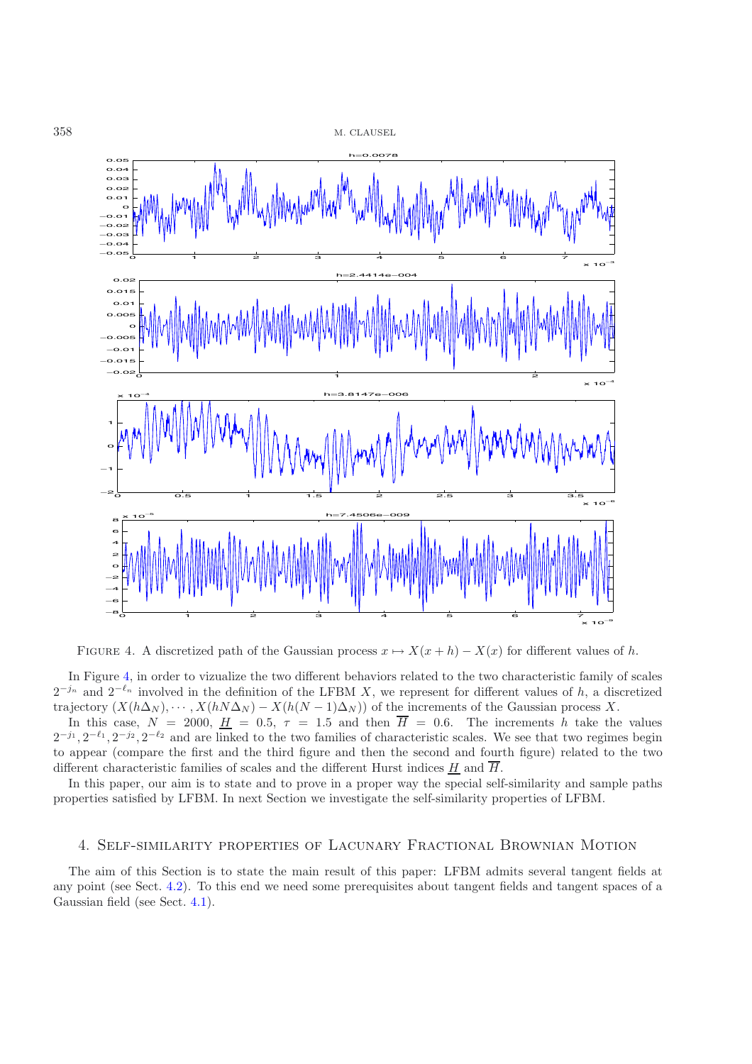

FIGURE 4. A discretized path of the Gaussian process  $x \mapsto X(x+h) - X(x)$  for different values of h.

<span id="page-6-1"></span>In Figure [4,](#page-6-1) in order to vizualize the two different behaviors related to the two characteristic family of scales  $2^{-j_n}$  and  $2^{-\ell_n}$  involved in the definition of the LFBM X, we represent for different values of h, a discretized trajectory  $(X(h\Delta_N), \cdots, X(hN\Delta_N) - X(h(N-1)\Delta_N))$  of the increments of the Gaussian process X.

In this case,  $N = 2000$ ,  $H = 0.5$ ,  $\tau = 1.5$  and then  $\overline{H} = 0.6$ . The increments h take the values  $2^{-j_1}, 2^{-\ell_1}, 2^{-j_2}, 2^{-\ell_2}$  and are linked to the two families of characteristic scales. We see that two regimes begin to appear (compare the first and the third figure and then the second and fourth figure) related to the two different characteristic families of scales and the different Hurst indices  $H$  and  $\overline{H}$ .

In this paper, our aim is to state and to prove in a proper way the special self-similarity and sample paths properties satisfied by LFBM. In next Section we investigate the self-similarity properties of LFBM.

## 4. Self-similarity properties of Lacunary Fractional Brownian Motion

<span id="page-6-0"></span>The aim of this Section is to state the main result of this paper: LFBM admits several tangent fields at any point (see Sect. [4.2\)](#page-8-0). To this end we need some prerequisites about tangent fields and tangent spaces of a Gaussian field (see Sect. [4.1\)](#page-7-0).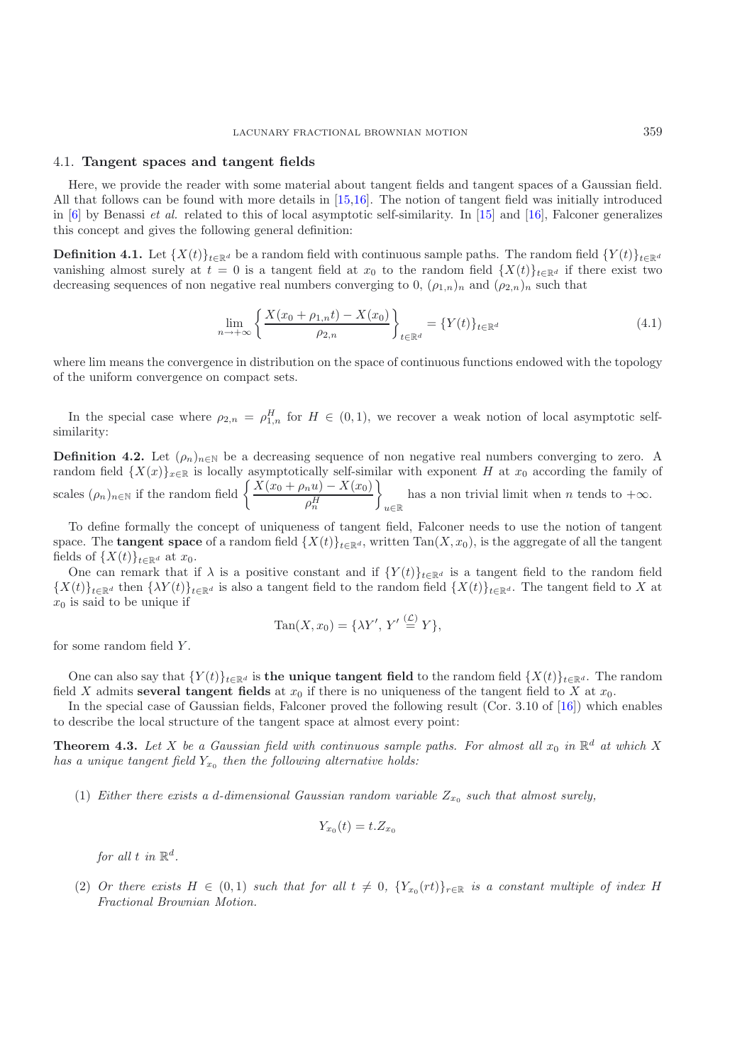#### <span id="page-7-0"></span>4.1. **Tangent spaces and tangent fields**

Here, we provide the reader with some material about tangent fields and tangent spaces of a Gaussian field. All that follows can be found with more details in [\[15](#page-21-0)[,16\]](#page-21-1). The notion of tangent field was initially introduced in [\[6\]](#page-21-2) by Benassi *et al.* related to this of local asymptotic self-similarity. In [\[15](#page-21-0)] and [\[16](#page-21-1)], Falconer generalizes this concept and gives the following general definition:

**Definition 4.1.** Let  $\{X(t)\}_{t\in\mathbb{R}^d}$  be a random field with continuous sample paths. The random field  $\{Y(t)\}_{t\in\mathbb{R}^d}$ vanishing almost surely at  $t = 0$  is a tangent field at  $x_0$  to the random field  $\{X(t)\}_{t\in\mathbb{R}^d}$  if there exist two decreasing sequences of non negative real numbers converging to 0,  $(\rho_{1,n})_n$  and  $(\rho_{2,n})_n$  such that

$$
\lim_{n \to +\infty} \left\{ \frac{X(x_0 + \rho_{1,n}t) - X(x_0)}{\rho_{2,n}} \right\}_{t \in \mathbb{R}^d} = \{Y(t)\}_{t \in \mathbb{R}^d}
$$
\n(4.1)

where lim means the convergence in distribution on the space of continuous functions endowed with the topology of the uniform convergence on compact sets.

In the special case where  $\rho_{2,n} = \rho_{1,n}^H$  for  $H \in (0,1)$ , we recover a weak notion of local asymptotic selfsimilarity:

**Definition 4.2.** Let  $(\rho_n)_{n\in\mathbb{N}}$  be a decreasing sequence of non negative real numbers converging to zero. A random field  $\{X(x)\}_{x\in\mathbb{R}}$  is locally asymptotically self-similar with exponent H at  $x_0$  according the family of scales  $(\rho_n)_{n \in \mathbb{N}}$  if the random field  $\left\{ \frac{\dot{X}(x_0 + \rho_n u) - X(x_0)}{\rho_n^H} \right\}$  $\mathcal{L}$ u∈R has a non trivial limit when n tends to  $+\infty$ .

To define formally the concept of uniqueness of tangent field, Falconer needs to use the notion of tangent space. The **tangent space** of a random field  $\{X(t)\}_{t\in\mathbb{R}^d}$ , written Tan $(X, x_0)$ , is the aggregate of all the tangent fields of  $\{X(t)\}_{t\in\mathbb{R}^d}$  at  $x_0$ .

One can remark that if  $\lambda$  is a positive constant and if  $\{Y(t)\}_{t\in\mathbb{R}^d}$  is a tangent field to the random field  ${X(t)}_{t\in\mathbb{R}^d}$  then  ${\lambda Y(t)}_{t\in\mathbb{R}^d}$  is also a tangent field to the random field  ${X(t)}_{t\in\mathbb{R}^d}$ . The tangent field to X at  $x_0$  is said to be unique if

$$
\operatorname{Tan}(X, x_0) = \{ \lambda Y', Y' \stackrel{(\mathcal{L})}{=} Y \},
$$

for some random field Y .

One can also say that  ${Y(t)}_{t\in\mathbb{R}^d}$  is **the unique tangent field** to the random field  ${X(t)}_{t\in\mathbb{R}^d}$ . The random field X admits **several tangent fields** at  $x_0$  if there is no uniqueness of the tangent field to X at  $x_0$ .

In the special case of Gaussian fields, Falconer proved the following result (Cor. 3.10 of [\[16\]](#page-21-1)) which enables to describe the local structure of the tangent space at almost every point:

**Theorem 4.3.** Let X be a Gaussian field with continuous sample paths. For almost all  $x_0$  in  $\mathbb{R}^d$  at which X *has a unique tangent field*  $Y_{x_0}$  *then the following alternative holds:* 

(1) *Either there exists a d-dimensional Gaussian random variable*  $Z_{x_0}$  *such that almost surely,* 

$$
Y_{x_0}(t) = t.Z_{x_0}
$$

*for all*  $t$  *in*  $\mathbb{R}^d$ *.* 

(2) *Or there exists*  $H \in (0,1)$  *such that for all*  $t \neq 0$ ,  ${Y_{x_0}(rt)}_{r \in \mathbb{R}}$  *is a constant multiple of index* H *Fractional Brownian Motion.*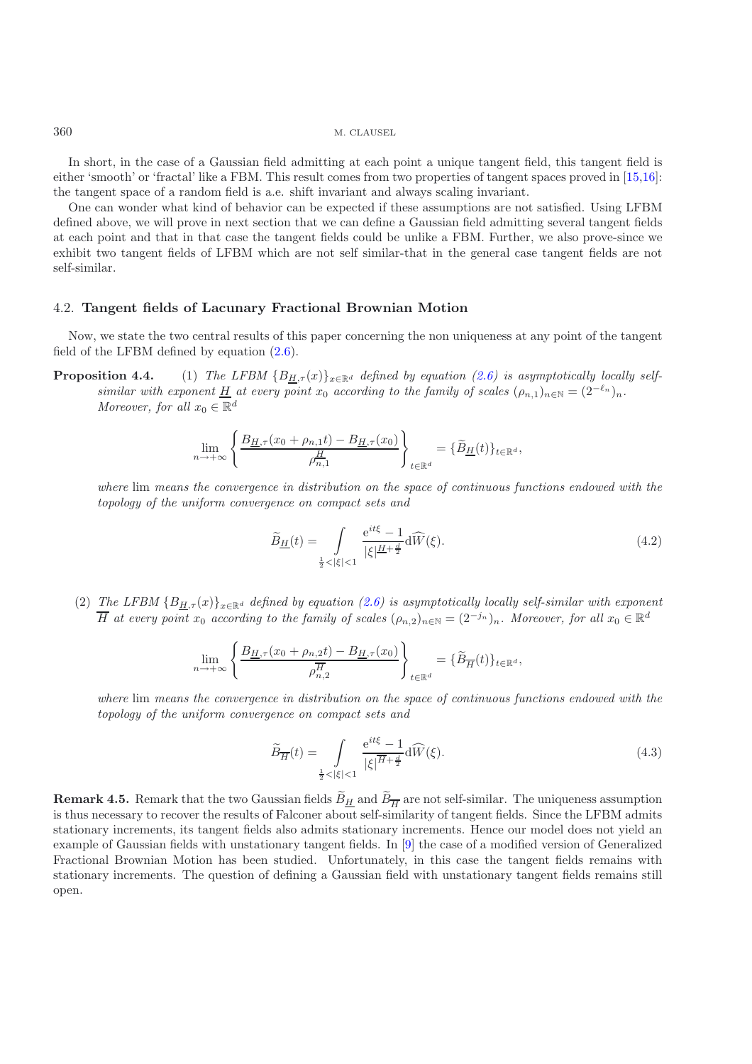In short, in the case of a Gaussian field admitting at each point a unique tangent field, this tangent field is either 'smooth' or 'fractal' like a FBM. This result comes from two properties of tangent spaces proved in [\[15](#page-21-0)[,16\]](#page-21-1): the tangent space of a random field is a.e. shift invariant and always scaling invariant.

One can wonder what kind of behavior can be expected if these assumptions are not satisfied. Using LFBM defined above, we will prove in next section that we can define a Gaussian field admitting several tangent fields at each point and that in that case the tangent fields could be unlike a FBM. Further, we also prove-since we exhibit two tangent fields of LFBM which are not self similar-that in the general case tangent fields are not self-similar.

### <span id="page-8-0"></span>4.2. **Tangent fields of Lacunary Fractional Brownian Motion**

<span id="page-8-3"></span>Now, we state the two central results of this paper concerning the non uniqueness at any point of the tangent field of the LFBM defined by equation [\(2.6\)](#page-4-0).

**Proposition 4.4.** (1) *The LFBM*  ${B_{H,\tau}(x)}_{x \in \mathbb{R}^d}$  *defined by equation [\(2.6\)](#page-4-0) is asymptotically locally selfsimilar with exponent*  $\underline{H}$  *at every point*  $x_0$  *according to the family of scales*  $(\rho_{n,1})_{n \in \mathbb{N}} = (2^{-\ell_n})_n$ . *Moreover, for all*  $x_0 \in \mathbb{R}^d$ 

$$
\lim_{n \to +\infty} \left\{ \frac{B_{\underline{H},\tau}(x_0 + \rho_{n,1}t) - B_{\underline{H},\tau}(x_0)}{\rho_{n,1}^{\underline{H}}} \right\}_{t \in \mathbb{R}^d} = \{\widetilde{B}_{\underline{H}}(t)\}_{t \in \mathbb{R}^d},
$$

*where* lim *means the convergence in distribution on the space of continuous functions endowed with the topology of the uniform convergence on compact sets and*

<span id="page-8-1"></span>
$$
\widetilde{B}_{\underline{H}}(t) = \int\limits_{\frac{1}{2} < |\xi| < 1} \frac{\mathrm{e}^{it\xi} - 1}{|\xi|^{\underline{H} + \frac{d}{2}}} \mathrm{d}\widehat{W}(\xi). \tag{4.2}
$$

(2) *The LFBM*  ${B_{H,\tau}}(x)$ <sub> $x \in \mathbb{R}^d$  *defined by equation [\(2.6\)](#page-4-0) is asymptotically locally self-similar with exponent*</sub>  $\overline{H}$  at every point  $x_0$  according to the family of scales  $(\rho_{n,2})_{n\in\mathbb{N}}=(2^{-j_n})_n$ . Moreover, for all  $x_0\in\mathbb{R}^d$ 

$$
\lim_{n \to +\infty} \left\{ \frac{B_{\underline{H},\tau}(x_0 + \rho_{n,2}t) - B_{\underline{H},\tau}(x_0)}{\rho_{n,2}^{\overline{H}}} \right\}_{t \in \mathbb{R}^d} = \{\widetilde{B}_{\overline{H}}(t)\}_{t \in \mathbb{R}^d},
$$

*where* lim *means the convergence in distribution on the space of continuous functions endowed with the topology of the uniform convergence on compact sets and*

<span id="page-8-2"></span>
$$
\widetilde{B}_{\overline{H}}(t) = \int\limits_{\frac{1}{2} < |\xi| < 1} \frac{\mathrm{e}^{it\xi} - 1}{|\xi|^{\overline{H} + \frac{d}{2}}} \mathrm{d}\widehat{W}(\xi). \tag{4.3}
$$

**Remark 4.5.** Remark that the two Gaussian fields  $B_{\underline{H}}$  and  $B_{\overline{H}}$  are not self-similar. The uniqueness assumption is thus necessary to recover the results of Falconer about self-similarity of tangent fields. Since the LFBM admits stationary increments, its tangent fields also admits stationary increments. Hence our model does not yield an example of Gaussian fields with unstationary tangent fields. In [\[9](#page-21-13)] the case of a modified version of Generalized Fractional Brownian Motion has been studied. Unfortunately, in this case the tangent fields remains with stationary increments. The question of defining a Gaussian field with unstationary tangent fields remains still open.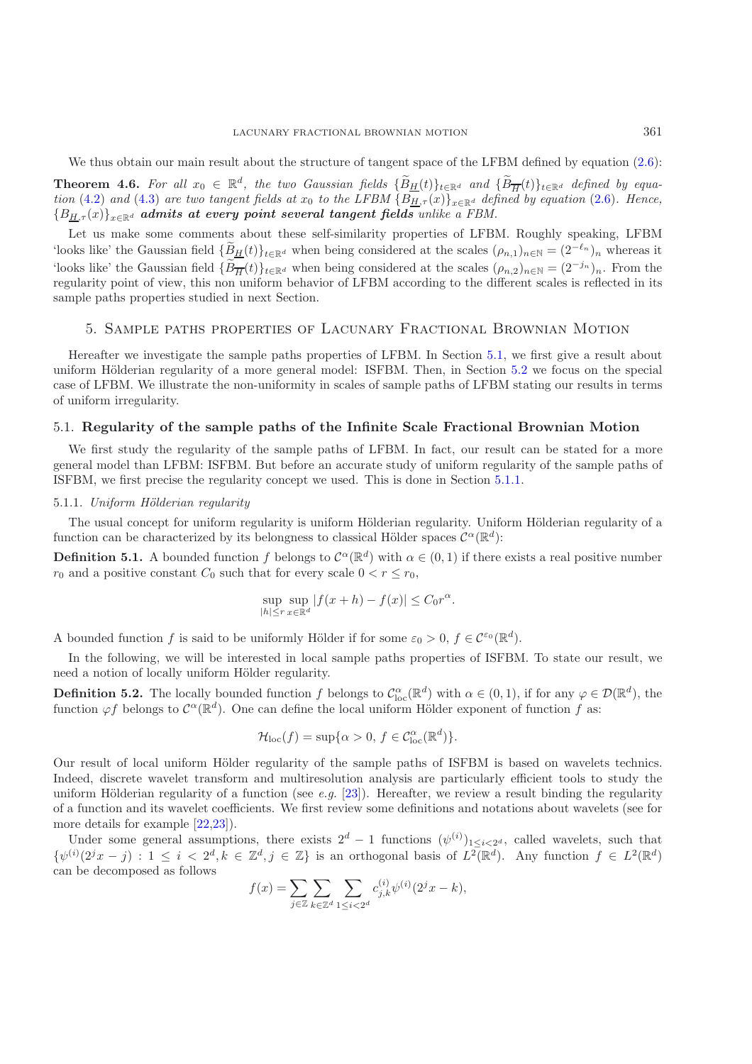We thus obtain our main result about the structure of tangent space of the LFBM defined by equation  $(2.6)$ : **Theorem 4.6.** For all  $x_0 \in \mathbb{R}^d$ , the two Gaussian fields  $\{\widetilde{B}_{\underline{H}}(t)\}_{t\in\mathbb{R}^d}$  and  $\{\widetilde{B}_{\overline{H}}(t)\}_{t\in\mathbb{R}^d}$  defined by equa-<br>tion (4.3) and (4.3) are two tensor fields at  $x$  to the LEBM  $(R)$  (c)) *tion* [\(4.2\)](#page-8-1) *and* [\(4.3\)](#page-8-2) *are two tangent fields at*  $x_0$  *to the LFBM*  $\{B_{H,\tau}(x)\}_{x \in \mathbb{R}^d}$  *defined by equation* [\(2.6\)](#page-4-0)*. Hence,*  ${B_{H,\tau}(x)}_{x\in\mathbb{R}^d}$  *admits at every point several tangent fields whike a FBM.* 

Let us make some comments about these self-similarity properties of LFBM. Roughly speaking, LFBM 'looks like' the Gaussian field  ${B_H(t)}_{t \in \mathbb{R}^d}$  when being considered at the scales  $(\rho_{n,1})_{n \in \mathbb{N}} = (2^{-\ell_n})_n$  whereas it 'looks like' the Gaussian field  $\{\widetilde{B}_{\overline{H}}(t)\}_{t\in\mathbb{R}^d}$  when being considered at the scales  $(\rho_{n,2})_{n\in\mathbb{N}}=(2^{-j_n})_n$ . From the regularity point of view, this non uniform behavior of LFBM according to the different scales is reflected in its sample paths properties studied in next Section.

## 5. Sample paths properties of Lacunary Fractional Brownian Motion

<span id="page-9-0"></span>Hereafter we investigate the sample paths properties of LFBM. In Section [5.1,](#page-9-1) we first give a result about uniform Hölderian regularity of a more general model: ISFBM. Then, in Section [5.2](#page-11-0) we focus on the special case of LFBM. We illustrate the non-uniformity in scales of sample paths of LFBM stating our results in terms of uniform irregularity.

#### <span id="page-9-1"></span>5.1. **Regularity of the sample paths of the Infinite Scale Fractional Brownian Motion**

We first study the regularity of the sample paths of LFBM. In fact, our result can be stated for a more general model than LFBM: ISFBM. But before an accurate study of uniform regularity of the sample paths of ISFBM, we first precise the regularity concept we used. This is done in Section [5.1.1.](#page-9-2)

#### <span id="page-9-2"></span>5.1.1. *Uniform H¨olderian regularity*

The usual concept for uniform regularity is uniform Hölderian regularity. Uniform Hölderian regularity of a function can be characterized by its belongness to classical Hölder spaces  $\mathcal{C}^{\alpha}(\mathbb{R}^{d})$ :

**Definition 5.1.** A bounded function f belongs to  $C^{\alpha}(\mathbb{R}^d)$  with  $\alpha \in (0,1)$  if there exists a real positive number  $r_0$  and a positive constant  $C_0$  such that for every scale  $0 < r \leq r_0$ ,

$$
\sup_{|h| \le r} \sup_{x \in \mathbb{R}^d} |f(x+h) - f(x)| \le C_0 r^{\alpha}.
$$

A bounded function f is said to be uniformly Hölder if for some  $\varepsilon_0 > 0$ ,  $f \in C^{\varepsilon_0}(\mathbb{R}^d)$ .

In the following, we will be interested in local sample paths properties of ISFBM. To state our result, we need a notion of locally uniform Hölder regularity.

**Definition 5.2.** The locally bounded function f belongs to  $\mathcal{C}_{\text{loc}}^{\alpha}(\mathbb{R}^d)$  with  $\alpha \in (0, 1)$ , if for any  $\varphi \in \mathcal{D}(\mathbb{R}^d)$ , the function of belongs to  $\mathcal{C}^{\alpha}(\mathbb{R}^d)$ . One can define the local unifo function  $\varphi f$  belongs to  $\mathcal{C}^{\alpha}(\mathbb{R}^d)$ . One can define the local uniform Hölder exponent of function f as:

$$
\mathcal{H}_{\mathrm{loc}}(f) = \sup \{ \alpha > 0, \, f \in \mathcal{C}_{\mathrm{loc}}^{\alpha}(\mathbb{R}^d) \}.
$$

Our result of local uniform Hölder regularity of the sample paths of ISFBM is based on wavelets technics. Indeed, discrete wavelet transform and multiresolution analysis are particularly efficient tools to study the uniform Hölderian regularity of a function (see *e.g.* [\[23](#page-22-5)]). Hereafter, we review a result binding the regularity of a function and its wavelet coefficients. We first review some definitions and notations about wavelets (see for more details for example [\[22](#page-22-6)[,23](#page-22-5)]).

Under some general assumptions, there exists  $2^d - 1$  functions  $(\psi^{(i)})_{1 \leq i \leq 2^d}$ , called wavelets, such that  $(\psi^{(i)})_{1 \leq i \leq 2^d}$ ,  $(\psi^{(i)})_{1 \leq i \leq 2^d}$ ,  $(\psi^{(i)})_{1 \leq i \leq 2^d}$  $\{\psi^{(i)}(2^jx-j):1\leq i\langle 2^d,k\in\mathbb{Z}^d,j\in\mathbb{Z}\}\$ is an orthogonal basis of  $L^2(\mathbb{R}^d)$ . Any function  $f\in L^2(\mathbb{R}^d)$ can be decomposed as follows

$$
f(x) = \sum_{j \in \mathbb{Z}} \sum_{k \in \mathbb{Z}^d} \sum_{1 \le i < 2^d} c_{j,k}^{(i)} \psi^{(i)}(2^j x - k),
$$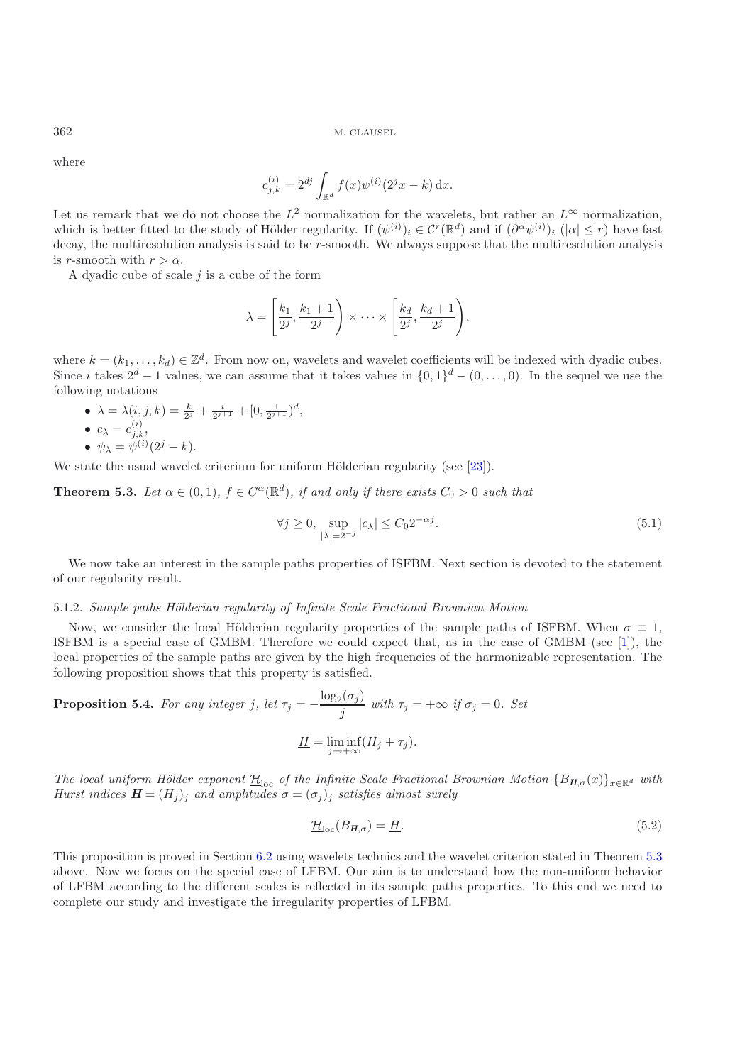where

$$
c_{j,k}^{(i)} = 2^{dj} \int_{\mathbb{R}^d} f(x) \psi^{(i)}(2^j x - k) \,dx.
$$

Let us remark that we do not choose the  $L^2$  normalization for the wavelets, but rather an  $L^{\infty}$  normalization, which is better fitted to the study of Hölder regularity. If  $(\psi^{(i)})_i \in C^r(\mathbb{R}^d)$  and if  $(\partial^\alpha \psi^{(i)})_i$   $(|\alpha| \leq r)$  have fast decay, the multiresolution analysis is said to be r-smooth. We always suppose that the multiresolution analysis is r-smooth with  $r>\alpha$ .

A dyadic cube of scale  $j$  is a cube of the form

$$
\lambda = \left[\frac{k_1}{2^j}, \frac{k_1+1}{2^j}\right) \times \cdots \times \left[\frac{k_d}{2^j}, \frac{k_d+1}{2^j}\right),\,
$$

where  $k = (k_1, \ldots, k_d) \in \mathbb{Z}^d$ . From now on, wavelets and wavelet coefficients will be indexed with dyadic cubes.<br>Since *i* takes  $2^d - 1$  values, we can assume that it takes values in  $\{0, 1\}^d - (0, \ldots, 0)$ . In the se following notations

•  $\lambda = \lambda(i, j, k) = \frac{k}{2^j} + \frac{i}{2^{j+1}} + [0, \frac{1}{2^{j+1}})^d,$ <br>•  $c_{\lambda} = c_{i,k}^{(i)},$ 

• 
$$
\psi_{\lambda} = \psi^{(i)}(2^j - k).
$$

<span id="page-10-0"></span>We state the usual wavelet criterium for uniform Hölderian regularity (see  $[23]$  $[23]$ ).

**Theorem 5.3.** *Let*  $\alpha \in (0,1)$ *,*  $f \in C^{\alpha}(\mathbb{R}^d)$ *, if and only if there exists*  $C_0 > 0$  *such that* 

$$
\forall j \ge 0, \sup_{|\lambda| = 2^{-j}} |c_{\lambda}| \le C_0 2^{-\alpha j}.
$$
\n
$$
(5.1)
$$

We now take an interest in the sample paths properties of ISFBM. Next section is devoted to the statement of our regularity result.

#### 5.1.2. *Sample paths Hölderian regularity of Infinite Scale Fractional Brownian Motion*

Now, we consider the local Hölderian regularity properties of the sample paths of ISFBM. When  $\sigma \equiv 1$ , ISFBM is a special case of GMBM. Therefore we could expect that, as in the case of GMBM (see [\[1](#page-21-9)]), the local properties of the sample paths are given by the high frequencies of the harmonizable representation. The following proposition shows that this property is satisfied.

<span id="page-10-1"></span>**Proposition 5.4.** For any integer j, let 
$$
\tau_j = -\frac{\log_2(\sigma_j)}{j}
$$
 with  $\tau_j = +\infty$  if  $\sigma_j = 0$ . Set  

$$
\underline{H} = \liminf_{j \to +\infty} (H_j + \tau_j).
$$

*The local uniform Hölder exponent*  $\underline{H}_{loc}$  *of the Infinite Scale Fractional Brownian Motion*  ${B_{H,\sigma}(x)}_{x \in \mathbb{R}^d}$  *with*<br>*Harct indices*  $H - (H)$ , and amplitudes  $\sigma = (\sigma_1)$ , satisfies almost expelsively *Hurst indices*  $\mathbf{H} = (H_i)$ <sub>*i*</sub> *and amplitudes*  $\sigma = (\sigma_i)$ <sub>*i*</sub> *satisfies almost surely* 

<span id="page-10-2"></span>
$$
\underline{\mathcal{H}}_{\text{loc}}(B_{H,\sigma}) = \underline{H}.\tag{5.2}
$$

This proposition is proved in Section [6.2](#page-17-1) using wavelets technics and the wavelet criterion stated in Theorem [5.3](#page-10-0) above. Now we focus on the special case of LFBM. Our aim is to understand how the non-uniform behavior of LFBM according to the different scales is reflected in its sample paths properties. To this end we need to complete our study and investigate the irregularity properties of LFBM.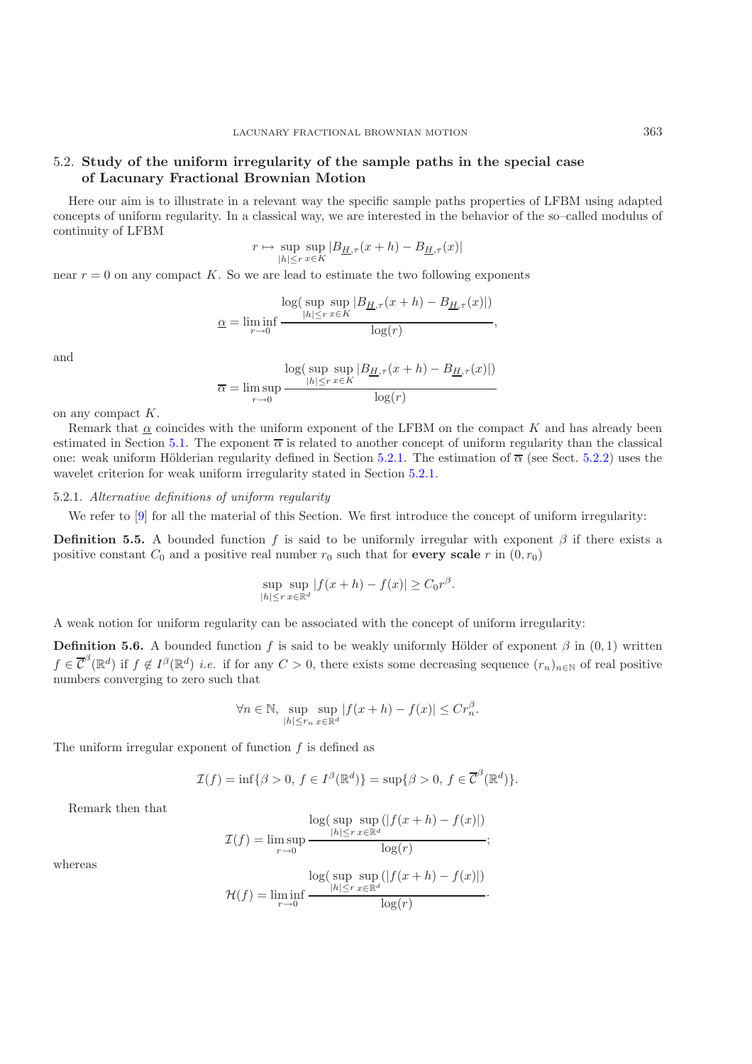## <span id="page-11-0"></span>5.2. **Study of the uniform irregularity of the sample paths in the special case of Lacunary Fractional Brownian Motion**

Here our aim is to illustrate in a relevant way the specific sample paths properties of LFBM using adapted concepts of uniform regularity. In a classical way, we are interested in the behavior of the so–called modulus of continuity of LFBM

$$
r \mapsto \sup_{|h| \le r} \sup_{x \in K} |B_{\underline{H},\tau}(x+h) - B_{\underline{H},\tau}(x)|
$$

near  $r = 0$  on any compact K. So we are lead to estimate the two following exponents

$$
\underbrace{\log(\sup_{|h| \le r} \sup_{x \in K} |B_{\underline{H},\tau}(x+h) - B_{\underline{H},\tau}(x)|)}_{\log(r)},
$$

and

$$
\overline{\alpha} = \limsup_{r \to 0} \frac{\log(\sup_{|h| \le r} \sup_{x \in K} |B_{\underline{H},\tau}(x+h) - B_{\underline{H},\tau}(x)|)}{\log(r)}
$$

on any compact  $K$ .

Remark that  $\alpha$  coincides with the uniform exponent of the LFBM on the compact K and has already been estimated in Section [5.1.](#page-9-1) The exponent  $\overline{\alpha}$  is related to another concept of uniform regularity than the classical one: weak uniform Hölderian regularity defined in Section [5.2.1.](#page-11-1) The estimation of  $\overline{\alpha}$  (see Sect. [5.2.2\)](#page-13-0) uses the wavelet criterion for weak uniform irregularity stated in Section [5.2.1.](#page-11-1)

### <span id="page-11-1"></span>5.2.1. *Alternative definitions of uniform regularity*

We refer to  $[9]$  $[9]$  for all the material of this Section. We first introduce the concept of uniform irregularity:

**Definition 5.5.** A bounded function f is said to be uniformly irregular with exponent  $\beta$  if there exists a positive constant  $C_0$  and a positive real number  $r_0$  such that for **every scale** r in  $(0, r_0)$ 

$$
\sup_{|h| \le r} \sup_{x \in \mathbb{R}^d} |f(x+h) - f(x)| \ge C_0 r^{\beta}.
$$

A weak notion for uniform regularity can be associated with the concept of uniform irregularity:

**Definition 5.6.** A bounded function f is said to be weakly uniformly Hölder of exponent  $\beta$  in  $(0,1)$  written  $f \in \overline{\mathcal{C}}^{\beta}(\mathbb{R}^d)$  if  $f \notin I^{\beta}(\mathbb{R}^d)$  *i.e.* if for any  $C > 0$ , there exists some decreasing sequence  $(r_n)_{n \in \mathbb{N}}$  of real positive numbers converging to zero such that

$$
\forall n \in \mathbb{N}, \sup_{|h| \le r_n} \sup_{x \in \mathbb{R}^d} |f(x+h) - f(x)| \le Cr_n^{\beta}.
$$

The uniform irregular exponent of function  $f$  is defined as

$$
\mathcal{I}(f)=\inf\{\beta>0,\,f\in I^\beta(\mathbb{R}^d)\}=\sup\{\beta>0,\,f\in \overline{\mathcal{C}}^\beta(\mathbb{R}^d)\}.
$$

Remark then that

$$
\mathcal{I}(f) = \limsup_{r \to 0} \frac{\log(\sup_{|h| \le r} \sup_{x \in \mathbb{R}^d} (|f(x+h) - f(x)|))}{\log(r)};
$$

$$
\mathcal{H}(f) = \liminf_{r \to 0} \frac{\log(\sup_{|h| \le r} \sup_{x \in \mathbb{R}^d} (|f(x+h) - f(x)|))}{\log(r)}.
$$

whereas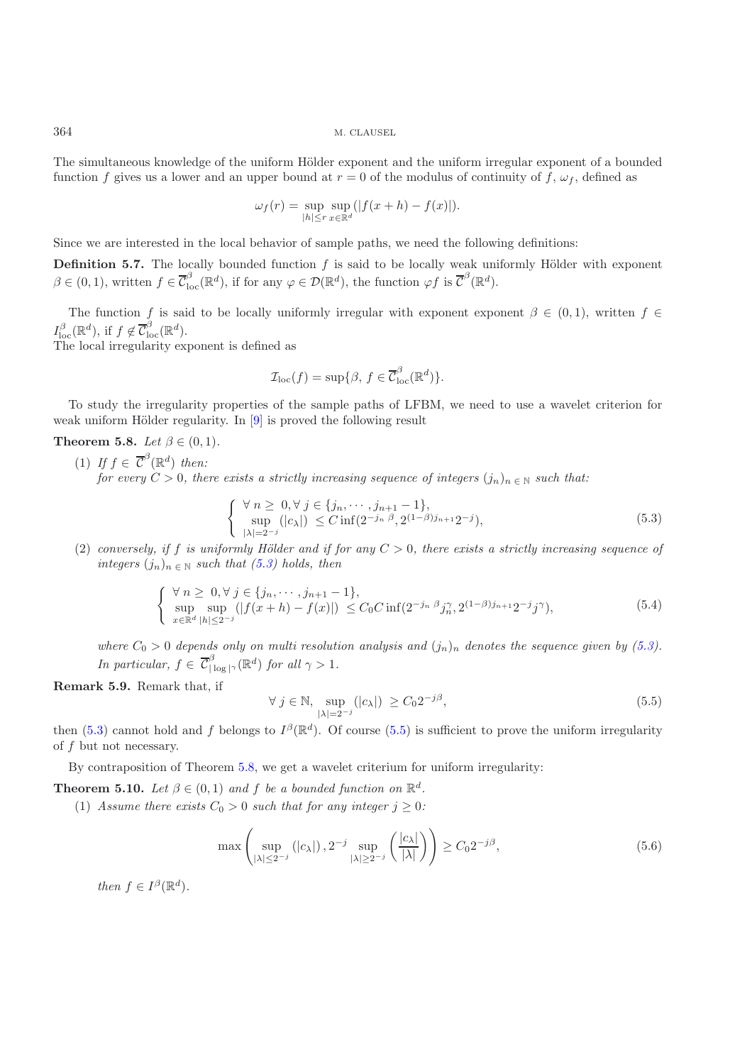The simultaneous knowledge of the uniform Hölder exponent and the uniform irregular exponent of a bounded function f gives us a lower and an upper bound at  $r = 0$  of the modulus of continuity of f,  $\omega_f$ , defined as

$$
\omega_f(r) = \sup_{|h| \le r} \sup_{x \in \mathbb{R}^d} (|f(x+h) - f(x)|).
$$

Since we are interested in the local behavior of sample paths, we need the following definitions:

**Definition 5.7.** The locally bounded function  $f$  is said to be locally weak uniformly Hölder with exponent  $\beta \in (0, 1)$ , written  $f \in \overline{\mathcal{C}}_{\text{loc}}^{\beta}(\mathbb{R}^d)$ , if for any  $\varphi \in \mathcal{D}(\mathbb{R}^d)$ , the function  $\varphi f$  is  $\overline{\mathcal{C}}^{\beta}(\mathbb{R}^d)$ .

The function f is said to be locally uniformly irregular with exponent exponent  $\beta \in (0,1)$ , written  $f \in$  $I_{\text{loc}}^{\beta}(\mathbb{R}^d)$ , if  $f \notin \overline{\mathcal{C}}_{\text{loc}}^{\beta}(\mathbb{R}^d)$ .<br>The local irregularity ex-

The local irregularity exponent is defined as

$$
\mathcal{I}_{\mathrm{loc}}(f) = \sup \{ \beta, \, f \in \overline{\mathcal{C}}_{\mathrm{loc}}^{\beta}(\mathbb{R}^d) \}.
$$

<span id="page-12-2"></span>To study the irregularity properties of the sample paths of LFBM, we need to use a wavelet criterion for weak uniform Hölder regularity. In  $[9]$  is proved the following result

**Theorem 5.8.** *Let*  $\beta \in (0, 1)$ *.* 

(1) If  $f \in \overline{C}^{\beta}(\mathbb{R}^d)$  then: *for every*  $C > 0$ , there exists a strictly increasing sequence of integers  $(j_n)_{n \in \mathbb{N}}$  such that:

$$
\begin{cases} \forall n \geq 0, \forall j \in \{j_n, \dots, j_{n+1} - 1\}, \\ \sup_{|\lambda| = 2^{-j}} (|c_{\lambda}|) \leq C \inf (2^{-j_n \beta}, 2^{(1-\beta)j_{n+1}} 2^{-j}), \end{cases} (5.3)
$$

<span id="page-12-0"></span>(2) *conversely, if* f *is uniformly H¨older and if for any* C > 0*, there exists a strictly increasing sequence of integers*  $(j_n)_{n \in \mathbb{N}}$  *such that* [\(5.3\)](#page-12-0) *holds, then* 

$$
\begin{cases} \forall n \geq 0, \forall j \in \{j_n, \cdots, j_{n+1} - 1\}, \\ \sup_{x \in \mathbb{R}^d} \sup_{|h| \leq 2^{-j}} (|f(x+h) - f(x)|) \leq C_0 C \inf(2^{-j_n \beta} j_n^{\gamma}, 2^{(1-\beta)j_{n+1}} 2^{-j} j^{\gamma}), \end{cases} (5.4)
$$

*where*  $C_0 > 0$  *depends only on multi resolution analysis and*  $(j_n)_n$  *denotes the sequence given by* [\(5.3\)](#page-12-0)*. In particular,*  $f \in \overline{\mathcal{C}}_{|\log|\gamma}^{\beta}(\mathbb{R}^d)$  *for all*  $\gamma > 1$ *.* 

**Remark 5.9.** Remark that, if

<span id="page-12-1"></span>
$$
\forall j \in \mathbb{N}, \sup_{|\lambda|=2^{-j}} (|c_{\lambda}|) \ge C_0 2^{-j\beta}, \tag{5.5}
$$

then [\(5.3\)](#page-12-0) cannot hold and f belongs to  $I^{\beta}(\mathbb{R}^d)$ . Of course [\(5.5\)](#page-12-1) is sufficient to prove the uniform irregularity of f but not necessary.

By contraposition of Theorem [5.8,](#page-12-2) we get a wavelet criterium for uniform irregularity:

<span id="page-12-4"></span>**Theorem 5.10.** *Let*  $\beta \in (0,1)$  *and f be a bounded function on*  $\mathbb{R}^d$ *.* 

(1) Assume there exists  $C_0 > 0$  such that for any integer  $j \geq 0$ :

$$
\max\left(\sup_{|\lambda| \le 2^{-j}} (|c_{\lambda}|), 2^{-j} \sup_{|\lambda| \ge 2^{-j}} \left(\frac{|c_{\lambda}|}{|\lambda|}\right) \right) \ge C_0 2^{-j\beta},\tag{5.6}
$$

<span id="page-12-3"></span>*then*  $f \in I^{\beta}(\mathbb{R}^d)$ *.*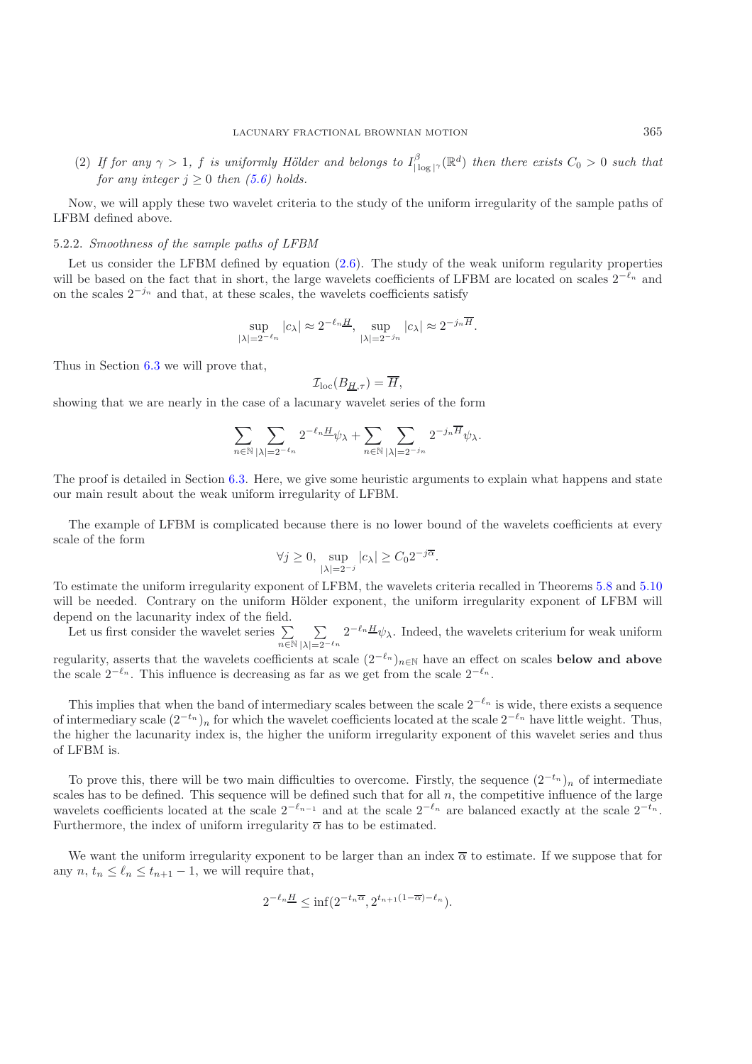(2) If for any  $\gamma > 1$ , f is uniformly Hölder and belongs to  $I_{|\log|\gamma}^{\beta}(\mathbb{R}^d)$  then there exists  $C_0 > 0$  such that *for any integer*  $j \geq 0$  *then* [\(5.6\)](#page-12-3) *holds.* 

Now, we will apply these two wavelet criteria to the study of the uniform irregularity of the sample paths of LFBM defined above.

#### <span id="page-13-0"></span>5.2.2. *Smoothness of the sample paths of LFBM*

Let us consider the LFBM defined by equation  $(2.6)$ . The study of the weak uniform regularity properties will be based on the fact that in short, the large wavelets coefficients of LFBM are located on scales  $2^{-\ell_n}$  and on the scales  $2^{-j_n}$  and that, at these scales, the wavelets coefficients satisfy

$$
\sup_{|\lambda|=2^{-\ell_n}}|c_{\lambda}| \approx 2^{-\ell_n} \frac{H}{|\lambda|=2^{-j_n}} \exp_{|\lambda| \approx 2^{-j_n} \frac{H}{H}}.
$$

Thus in Section [6.3](#page-20-0) we will prove that,

$$
\mathcal{I}_{\text{loc}}(B_{\underline{H},\tau}) = \overline{H},
$$

showing that we are nearly in the case of a lacunary wavelet series of the form

$$
\sum_{n \in \mathbb{N}} \sum_{|\lambda| = 2^{-\ell_n}} 2^{-\ell_n} \underline{H} \psi_{\lambda} + \sum_{n \in \mathbb{N}} \sum_{|\lambda| = 2^{-j_n}} 2^{-j_n} \overline{H} \psi_{\lambda}.
$$

The proof is detailed in Section [6.3.](#page-20-0) Here, we give some heuristic arguments to explain what happens and state our main result about the weak uniform irregularity of LFBM.

The example of LFBM is complicated because there is no lower bound of the wavelets coefficients at every scale of the form

$$
\forall j \ge 0, \sup_{|\lambda|=2^{-j}} |c_{\lambda}| \ge C_0 2^{-j\overline{\alpha}}.
$$

To estimate the uniform irregularity exponent of LFBM, the wavelets criteria recalled in Theorems [5.8](#page-12-2) and [5.10](#page-12-4) will be needed. Contrary on the uniform Hölder exponent, the uniform irregularity exponent of LFBM will depend on the lacunarity index of the field.

Let us first consider the wavelet series  $\Sigma$  $n\overline{\in}\mathbb{N}$  $\sum$  $\sum_{|\lambda|=2^{-\ell_n}} 2^{-\ell_n} \frac{H}{\psi_{\lambda}}$ . Indeed, the wavelets criterium for weak uniform

regularity, asserts that the wavelets coefficients at scale  $(2^{-\ell_n})_{n\in\mathbb{N}}$  have an effect on scales **below and above** the scale  $2^{-\ell_n}$ . This influence is decreasing as far as we get from the scale  $2^{-\ell_n}$ .

This implies that when the band of intermediary scales between the scale  $2^{-\ell_n}$  is wide, there exists a sequence of intermediary scale  $(2^{-t_n})_n$  for which the wavelet coefficients located at the scale  $2^{-\ell_n}$  have little weight. Thus, the higher the lacunarity index is, the higher the uniform irregularity exponent of this wavelet series and thus of LFBM is.

To prove this, there will be two main difficulties to overcome. Firstly, the sequence  $(2^{-t_n})_n$  of intermediate scales has to be defined. This sequence will be defined such that for all  $n$ , the competitive influence of the large wavelets coefficients located at the scale  $2^{-\ell_{n-1}}$  and at the scale  $2^{-\ell_n}$  are balanced exactly at the scale  $2^{-t_n}$ . Furthermore, the index of uniform irregularity  $\overline{\alpha}$  has to be estimated.

We want the uniform irregularity exponent to be larger than an index  $\overline{\alpha}$  to estimate. If we suppose that for any  $n, t_n \leq \ell_n \leq t_{n+1} - 1$ , we will require that,

$$
2^{-\ell_n} \le \inf(2^{-t_n \overline{\alpha}}, 2^{t_{n+1}(1-\overline{\alpha})-\ell_n}).
$$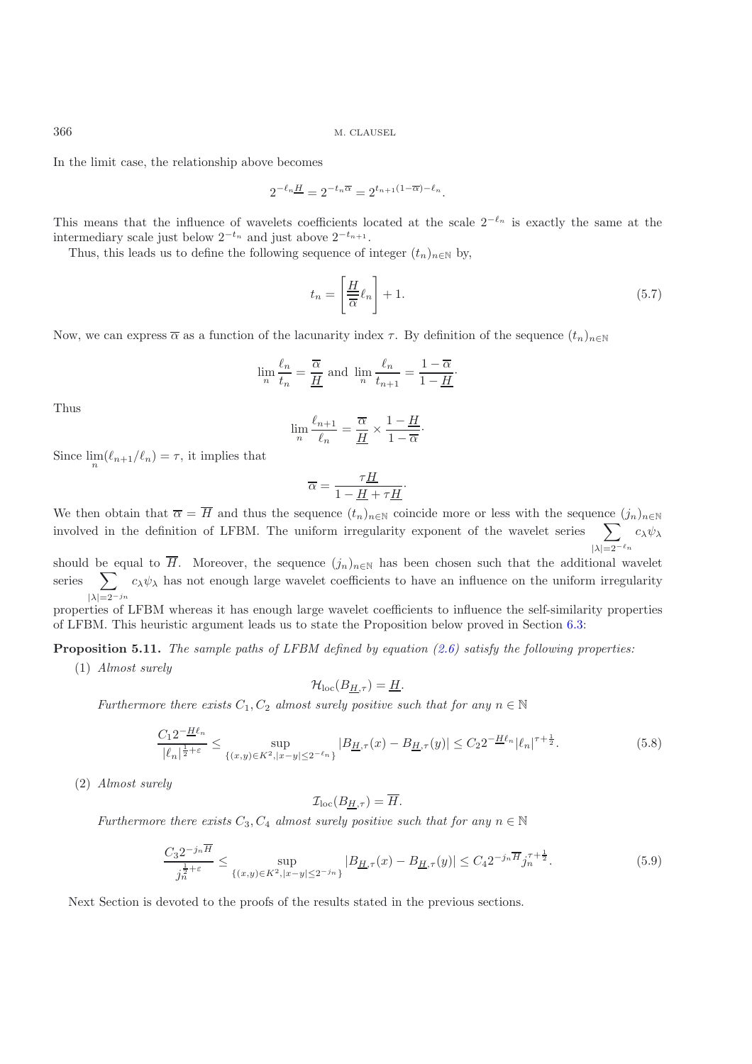In the limit case, the relationship above becomes

$$
2^{-\ell_n} \underline{H} = 2^{-t_n} \overline{\alpha} = 2^{t_{n+1}(1-\overline{\alpha})-\ell_n}.
$$

This means that the influence of wavelets coefficients located at the scale  $2^{-\ell_n}$  is exactly the same at the intermediary scale just below  $2^{-t_n}$  and just above  $2^{-t_{n+1}}$ .

Thus, this leads us to define the following sequence of integer  $(t_n)_{n\in\mathbb{N}}$  by,

$$
t_n = \left[\frac{\underline{H}}{\overline{\alpha}}\ell_n\right] + 1.\tag{5.7}
$$

Now, we can express  $\overline{\alpha}$  as a function of the lacunarity index  $\tau$ . By definition of the sequence  $(t_n)_{n\in\mathbb{N}}$ 

$$
\lim_{n} \frac{\ell_n}{t_n} = \frac{\overline{\alpha}}{\underline{H}} \text{ and } \lim_{n} \frac{\ell_n}{t_{n+1}} = \frac{1 - \overline{\alpha}}{1 - \underline{H}}.
$$

Thus

$$
\lim_{n} \frac{\ell_{n+1}}{\ell_n} = \frac{\overline{\alpha}}{\underline{H}} \times \frac{1 - \underline{H}}{1 - \overline{\alpha}}.
$$

Since  $\lim_{n}$  ( $\ell_{n+1}/\ell_n$ ) =  $\tau$ , it implies that

$$
\overline{\alpha} = \frac{\tau \underline{H}}{1 - \underline{H} + \tau \underline{H}}.
$$

We then obtain that  $\overline{\alpha} = \overline{H}$  and thus the sequence  $(t_n)_{n \in \mathbb{N}}$  coincide more or less with the sequence  $(j_n)_{n \in \mathbb{N}}$ involved in the definition of LFBM. The uniform irregularity exponent of the wavelet series  $\sum$  $|\lambda|=2^{-\ell_n}$  $c_\lambda \psi_\lambda$ 

should be equal to H. Moreover, the sequence  $(j_n)_{n\in\mathbb{N}}$  has been chosen such that the additional wavelet series  $\sum c_{\lambda}\psi_{\lambda}$  has not enough large wavelet coefficients to have an influence on the uniform irregularity  $|\lambda|=2^{-j_n}$ 

<span id="page-14-0"></span>properties of LFBM whereas it has enough large wavelet coefficients to influence the self-similarity properties of LFBM. This heuristic argument leads us to state the Proposition below proved in Section [6.3:](#page-20-0)

**Proposition 5.11.** *The sample paths of LFBM defined by equation [\(2.6\)](#page-4-0) satisfy the following properties:*

(1) *Almost surely*

$$
\mathcal{H}_{\mathrm{loc}}(B_{\underline{H},\tau})=\underline{H}.
$$

*Furthermore there exists*  $C_1, C_2$  *almost surely positive such that for any*  $n \in \mathbb{N}$ 

$$
\frac{C_1 2^{-\underline{H}\ell_n}}{|\ell_n|^{\frac{1}{2}+\varepsilon}} \le \sup_{\{(x,y)\in K^2, |x-y|\le 2^{-\ell_n}\}} |B_{\underline{H},\tau}(x) - B_{\underline{H},\tau}(y)| \le C_2 2^{-\underline{H}\ell_n} |\ell_n|^{\tau+\frac{1}{2}}.
$$
\n(5.8)

<span id="page-14-1"></span>(2) *Almost surely*

$$
\mathcal{I}_{\text{loc}}(B_{\underline{H},\tau}) = \overline{H}.
$$

*Furthermore there exists*  $C_3$ ,  $C_4$  *almost surely positive such that for any*  $n \in \mathbb{N}$ 

$$
\frac{C_3 2^{-j_n \overline{H}}}{j_n^{\frac{1}{2}+\varepsilon}} \le \sup_{\{(x,y)\in K^2, |x-y|\le 2^{-j_n}\}} |B_{\underline{H},\tau}(x) - B_{\underline{H},\tau}(y)| \le C_4 2^{-j_n \overline{H}} j_n^{\tau+\frac{1}{2}}.
$$
(5.9)

<span id="page-14-2"></span>Next Section is devoted to the proofs of the results stated in the previous sections.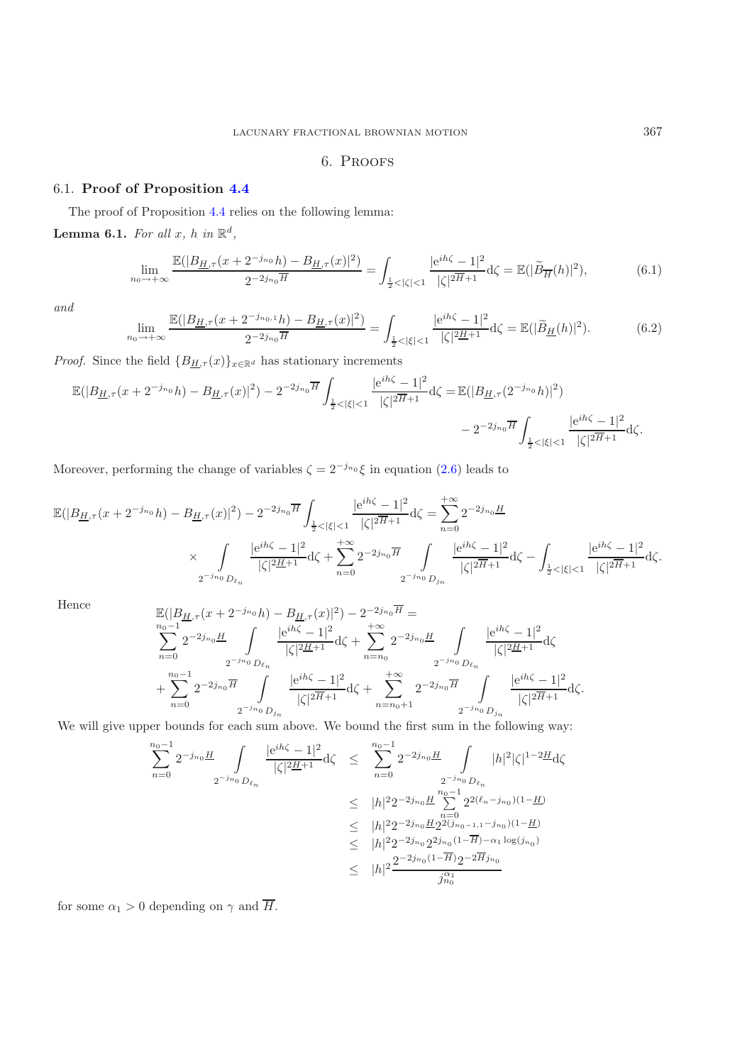# 6. Proofs

# <span id="page-15-0"></span>6.1. **Proof of Proposition [4.4](#page-8-3)**

<span id="page-15-3"></span>The proof of Proposition [4.4](#page-8-3) relies on the following lemma: **Lemma 6.1.** *For all*  $x$ *, h in*  $\mathbb{R}^d$ *,* 

$$
\lim_{n_0 \to +\infty} \frac{\mathbb{E}(|B_{\underline{H},\tau}(x+2^{-j_{n_0}}h) - B_{\underline{H},\tau}(x)|^2)}{2^{-2j_{n_0}\overline{H}}} = \int_{\frac{1}{2} < |\zeta| < 1} \frac{|e^{ih\zeta} - 1|^2}{|\zeta|^{2\overline{H} + 1}} d\zeta = \mathbb{E}(|\widetilde{B}_{\overline{H}}(h)|^2),\tag{6.1}
$$

<span id="page-15-2"></span><span id="page-15-1"></span>*and*

$$
\lim_{n_0 \to +\infty} \frac{\mathbb{E}(|B_{\underline{H},\tau}(x+2^{-j_{n_0,1}}h) - B_{\underline{H},\tau}(x)|^2)}{2^{-2j_{n_0}\overline{H}}} = \int_{\frac{1}{2} < |\xi| < 1} \frac{|e^{ih\zeta} - 1|^2}{|\zeta|^2 \underline{H} + 1} d\zeta = \mathbb{E}(|\widetilde{B}_{\underline{H}}(h)|^2). \tag{6.2}
$$

*Proof.* Since the field  ${B_{\underline{H},\tau}(x)}_{x\in\mathbb{R}^d}$  has stationary increments

$$
\mathbb{E}(|B_{\underline{H},\tau}(x+2^{-j_{n_0}}h)-B_{\underline{H},\tau}(x)|^2)-2^{-2j_{n_0}\overline{H}}\int_{\frac{1}{2}<|\xi|<1}\frac{|e^{ih\zeta}-1|^2}{|\zeta|^{2\overline{H}+1}}d\zeta=\mathbb{E}(|B_{\underline{H},\tau}(2^{-j_{n_0}}h)|^2)\n-2^{-2j_{n_0}\overline{H}}\int_{\frac{1}{2}<|\xi|<1}\frac{|e^{ih\zeta}-1|^2}{|\zeta|^{2\overline{H}+1}}d\zeta.
$$

Moreover, performing the change of variables  $\zeta = 2^{-j_{n_0}} \xi$  in equation [\(2.6\)](#page-4-0) leads to

$$
\mathbb{E}(|B_{\underline{H},\tau}(x+2^{-j_{n_0}}h)-B_{\underline{H},\tau}(x)|^2)-2^{-2j_{n_0}\overline{H}}\int_{\frac{1}{2}<|\xi|<1}\frac{|e^{ih\zeta}-1|^2}{|\zeta|^{2\overline{H}+1}}d\zeta=\sum_{n=0}^{+\infty}2^{-2j_{n_0}\underline{H}}\times\int_{2^{-j_{n_0}}D_{\ell_n}}\frac{|e^{ih\zeta}-1|^2}{|\zeta|^{2\overline{H}+1}}d\zeta+\sum_{n=0}^{+\infty}2^{-2j_{n_0}\overline{H}}\int_{2^{-j_{n_0}}D_{j_n}}\frac{|e^{ih\zeta}-1|^2}{|\zeta|^{2\overline{H}+1}}d\zeta-\int_{\frac{1}{2}<|\xi|<1}\frac{|e^{ih\zeta}-1|^2}{|\zeta|^{2\overline{H}+1}}d\zeta.
$$

Hence  
\n
$$
\mathbb{E}(|B_{\underline{H},\tau}(x+2^{-j_{n_0}}h)-B_{\underline{H},\tau}(x)|^2)-2^{-2j_{n_0}\overline{H}}=
$$
\n
$$
\sum_{n=0}^{n_0-1} 2^{-2j_{n_0}\underline{H}} \int_{2^{-j_{n_0}}D_{\ell_n}} \frac{|e^{ih\zeta}-1|^2}{|\zeta|^{2\underline{H}+1}} d\zeta + \sum_{n=n_0}^{+\infty} 2^{-2j_{n_0}\underline{H}} \int_{2^{-j_{n_0}}D_{\ell_n}} \frac{|e^{ih\zeta}-1|^2}{|\zeta|^{2\underline{H}+1}} d\zeta
$$
\n
$$
+\sum_{n=0}^{n_0-1} 2^{-2j_{n_0}\overline{H}} \int_{2^{-j_{n_0}}D_{j_n}} \frac{|e^{ih\zeta}-1|^2}{|\zeta|^{2\overline{H}+1}} d\zeta + \sum_{n=n_0+1}^{+\infty} 2^{-2j_{n_0}\overline{H}} \int_{2^{-j_{n_0}}D_{j_n}} \frac{|e^{ih\zeta}-1|^2}{|\zeta|^{2\overline{H}+1}} d\zeta.
$$

We will give upper bounds for each sum above. We bound the first sum in the following way:

$$
\sum_{n=0}^{n_0-1} 2^{-j_{n_0}} \frac{H}{L} \int_{2^{-j_{n_0}} D_{\ell_n}} \frac{|e^{ih\zeta} - 1|^2}{|\zeta|^{2\underline{H}+1}} d\zeta \leq \sum_{n=0}^{n_0-1} 2^{-2j_{n_0}} \frac{H}{L} \int_{2^{-j_{n_0}} D_{\ell_n}} |h|^2 |\zeta|^{1-2\underline{H}} d\zeta
$$
  
\n
$$
\leq |h|^2 2^{-2j_{n_0}} \frac{H}{L} \sum_{n=0}^{n_0-1} 2^{2(\ell_n - j_{n_0})(1-\underline{H})}
$$
  
\n
$$
\leq |h|^2 2^{-2j_{n_0}} \frac{H}{2^{2(j_{n_0-1,1}-j_{n_0})(1-\underline{H})}}{\zeta} < |h|^2 2^{-2j_{n_0}} 2^{2j_{n_0}(1-\overline{H})-\alpha_1 \log(j_{n_0})}
$$
  
\n
$$
\leq |h|^2 \frac{2^{-2j_{n_0}(1-\overline{H})} 2^{-2\overline{H}j_{n_0}}}{j_{n_0}^{\alpha_1}}
$$

for some  $\alpha_1 > 0$  depending on  $\gamma$  and  $\overline{H}$ .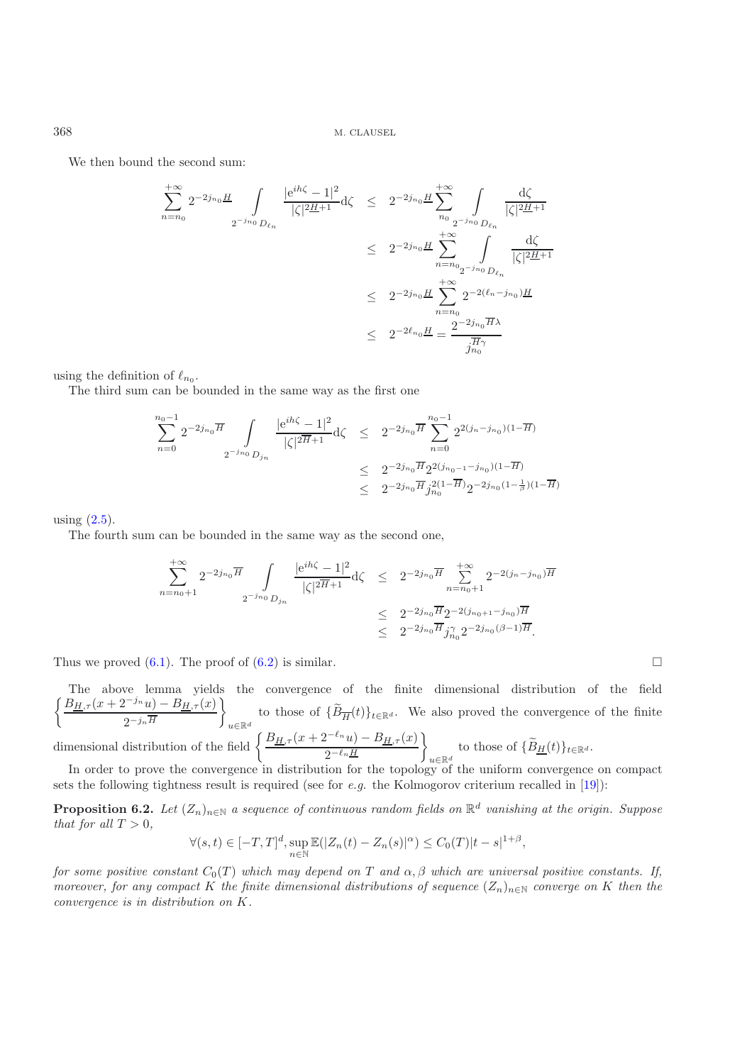We then bound the second sum:

$$
\begin{array}{lcl} \displaystyle \sum_{n=n_0}^{+\infty} 2^{-2j_{n_0}} \frac{H}{2} \int\limits_{2^{-j_{n_0}} D_{\ell_n}} \frac{| \mathrm{e}^{i h \zeta} - 1 |^2}{|\zeta|^{2 \underline{H} + 1}} \mathrm{d} \zeta & \leq & 2^{-2j_{n_0}} \frac{H}{2} \sum\limits_{n_0}^{+\infty} \int\limits_{2^{-j_{n_0}} D_{\ell_n}} \frac{\mathrm{d} \zeta}{|\zeta|^{2 \underline{H} + 1}} \\ & \leq & 2^{-2j_{n_0}} \frac{H}{2} \sum\limits_{n=n_0}^{+\infty} \int\limits_{2^{-j_{n_0}} D_{\ell_n}} \frac{\mathrm{d} \zeta}{|\zeta|^{2 \underline{H} + 1}} \\ & \leq & 2^{-2j_{n_0}} \frac{H}{2} \sum\limits_{n=n_0}^{+\infty} 2^{-2(\ell_n - j_{n_0}) \underline{H}} \\ & \leq & 2^{-2\ell_{n_0}} \frac{H}{2} = \frac{2^{-2j_{n_0}} \overline{H} \lambda}{j_{n_0}^{\overline{H} \gamma}} \end{array}
$$

using the definition of  $\ell_{n_0}$ .

The third sum can be bounded in the same way as the first one

$$
\sum_{n=0}^{n_0-1} 2^{-2j_{n_0}\overline{H}} \int_{2^{-j_{n_0}}D_{j_n}} \frac{|e^{ih\zeta} - 1|^2}{|\zeta|^{2\overline{H}+1}} d\zeta \leq 2^{-2j_{n_0}\overline{H}} \sum_{n=0}^{n_0-1} 2^{2(j_n - j_{n_0})(1 - \overline{H})}
$$
  

$$
\leq 2^{-2j_{n_0}\overline{H}} 2^{2(j_{n_0-1} - j_{n_0})(1 - \overline{H})}
$$
  

$$
\leq 2^{-2j_{n_0}\overline{H}} j_{n_0}^{2(1 - \overline{H})} 2^{-2j_{n_0}(1 - \frac{1}{\overline{B}})(1 - \overline{H})}
$$

using  $(2.5)$ .

The fourth sum can be bounded in the same way as the second one,

$$
\sum_{n=n_0+1}^{+\infty} 2^{-2j_{n_0}\overline{H}} \int_{2^{-j_{n_0}}D_{j_n}} \frac{|e^{ih\zeta}-1|^2}{|\zeta|^{2\overline{H}+1}} d\zeta \leq 2^{-2j_{n_0}\overline{H}} \sum_{n=n_0+1}^{+\infty} 2^{-2(j_n-j_{n_0})\overline{H}} \leq 2^{-2j_{n_0}\overline{H}} 2^{-2(j_{n_0+1}-j_{n_0})\overline{H}} \leq 2^{-2j_{n_0}\overline{H}} j_{n_0}^{\gamma} 2^{-2j_{n_0}(\beta-1)\overline{H}}.
$$

 $\Box$ 

Thus we proved  $(6.1)$ . The proof of  $(6.2)$  is similar.

The above lemma yields the convergence of the finite dimensional distribution of the field  $\int B_{H,\tau}(x+2^{-j_n}u)-B_{H,\tau}(x)$  $2^{-j_n\overline{H}}$  $\mathcal{L}$ to those of  ${B_{\overline{H}}(t)}_{t\in\mathbb{R}^d}$ . We also proved the convergence of the finite dimensional distribution of the field  $\begin{cases} \frac{B_{H,\tau}(x+2^{-\ell_n}u)-B_{H,\tau}(x)}{2-\ell_n} \end{cases}$  $2^{-\ell_n}\underline{H}$  $\mathcal{L}$ to those of  $\{B_{\underline{H}}(t)\}_{t\in\mathbb{R}^d}$ .

<span id="page-16-0"></span>In order to prove the convergence in distribution for the topology of the uniform convergence on compact sets the following tightness result is required (see for *e.g.* the Kolmogorov criterium recalled in [\[19\]](#page-22-7)):

**Proposition 6.2.** *Let*  $(Z_n)_{n\in\mathbb{N}}$  *a sequence of continuous random fields on*  $\mathbb{R}^d$  *vanishing at the origin. Suppose that for all*  $T > 0$ *,* 

$$
\forall (s,t) \in [-T,T]^d, \sup_{n \in \mathbb{N}} \mathbb{E}(|Z_n(t) - Z_n(s)|^{\alpha}) \leq C_0(T)|t - s|^{1+\beta},
$$

*for some positive constant*  $C_0(T)$  *which may depend on* T *and*  $\alpha$ ,  $\beta$  *which are universal positive constants. If, moreover, for any compact* K the finite dimensional distributions of sequence  $(Z_n)_{n\in\mathbb{N}}$  *converge on* K then the *convergence is in distribution on* K*.*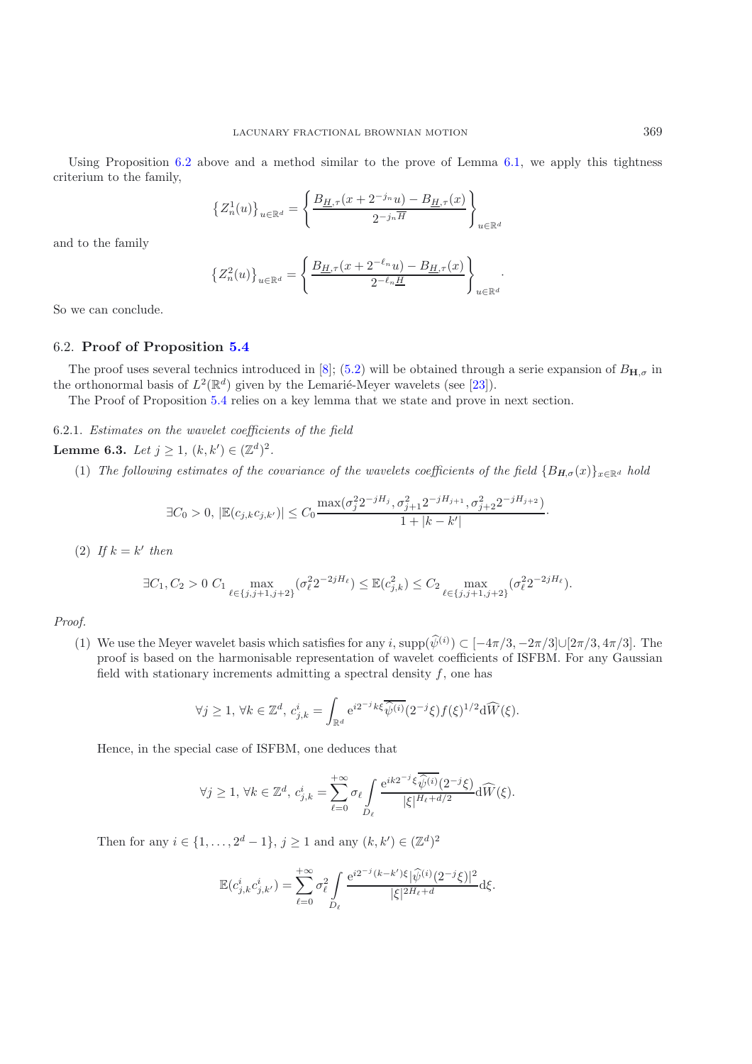Using Proposition [6.2](#page-16-0) above and a method similar to the prove of Lemma [6.1,](#page-15-3) we apply this tightness criterium to the family,

$$
\left\{Z_n^1(u)\right\}_{u\in\mathbb{R}^d}=\left\{\frac{B_{\underline{H},\tau}(x+2^{-j_n}u)-B_{\underline{H},\tau}(x)}{2^{-j_n\overline{H}}}\right\}_{u\in\mathbb{R}^d}
$$

and to the family

$$
\left\{Z_n^2(u)\right\}_{u\in\mathbb{R}^d}=\left\{\frac{B_{\underline{H},\tau}(x+2^{-\ell_n}u)-B_{\underline{H},\tau}(x)}{2^{-\ell_n}\underline{H}}\right\}_{u\in\mathbb{R}^d}.
$$

So we can conclude.

## <span id="page-17-1"></span>6.2. **Proof of Proposition [5.4](#page-10-1)**

The proof uses several technics introduced in [\[8](#page-21-14)]; [\(5.2\)](#page-10-2) will be obtained through a serie expansion of  $B_{H,\sigma}$  in the orthonormal basis of  $L^2(\mathbb{R}^d)$  given by the Lemarié-Meyer wavelets (see [\[23\]](#page-22-5)).

The Proof of Proposition [5.4](#page-10-1) relies on a key lemma that we state and prove in next section.

<span id="page-17-0"></span>6.2.1. *Estimates on the wavelet coefficients of the field*

**Lemme 6.3.** *Let*  $j \geq 1$ ,  $(k, k') \in (\mathbb{Z}^d)^2$ .

(1) *The following estimates of the covariance of the wavelets coefficients of the field*  ${B_{H,\sigma}(x)}_{x\in\mathbb{R}^d}$  *hold* 

$$
\exists C_0 > 0, \, |\mathbb{E}(c_{j,k}c_{j,k'})| \leq C_0 \frac{\max(\sigma_j^2 2^{-jH_j}, \sigma_{j+1}^2 2^{-jH_{j+1}}, \sigma_{j+2}^2 2^{-jH_{j+2}})}{1+|k-k'|}.
$$

(2) If  $k = k'$  then

$$
\exists C_1, C_2 > 0 \ C_1 \max_{\ell \in \{j, j+1, j+2\}} (\sigma_\ell^2 2^{-2jH_\ell}) \leq \mathbb{E}(c_{j,k}^2) \leq C_2 \max_{\ell \in \{j, j+1, j+2\}} (\sigma_\ell^2 2^{-2jH_\ell}).
$$

*Proof.*

(1) We use the Meyer wavelet basis which satisfies for any i,  $\text{supp}(\hat{\psi}^{(i)}) \subset [-4\pi/3, -2\pi/3] \cup [2\pi/3, 4\pi/3]$ . The proof is based on the harmonisable representation of wavelet coefficients of ISFBM. For any Gaussian field with stationary increments admitting a spectral density  $f$ , one has

$$
\forall j \geq 1, \forall k \in \mathbb{Z}^d, c_{j,k}^i = \int_{\mathbb{R}^d} e^{i2^{-j}k\xi} \overline{\widehat{\psi}^{(i)}}(2^{-j}\xi) f(\xi)^{1/2} d\widehat{W}(\xi).
$$

Hence, in the special case of ISFBM, one deduces that

$$
\forall j\geq 1,\, \forall k\in\mathbb{Z}^d,\, c_{j,k}^i=\sum_{\ell=0}^{+\infty} \sigma_\ell \int\limits_{D_\ell}\frac{\mathrm{e}^{ik2^{-j}\xi}\overline{\widehat{\psi}^{(i)}}(2^{-j}\xi)}{|\xi|^{H_\ell+d/2}}\mathrm{d}\widehat{W}(\xi).
$$

Then for any  $i \in \{1, ..., 2^d - 1\}, j \ge 1$  and any  $(k, k') \in (\mathbb{Z}^d)^2$ 

$$
\mathbb{E}(c_{j,k}^{i}c_{j,k'}^{i}) = \sum_{\ell=0}^{+\infty} \sigma_{\ell}^{2} \int_{D_{\ell}} \frac{e^{i2^{-j}(k-k')\xi}|\hat{\psi}^{(i)}(2^{-j}\xi)|^{2}}{|\xi|^{2H_{\ell}+d}} d\xi.
$$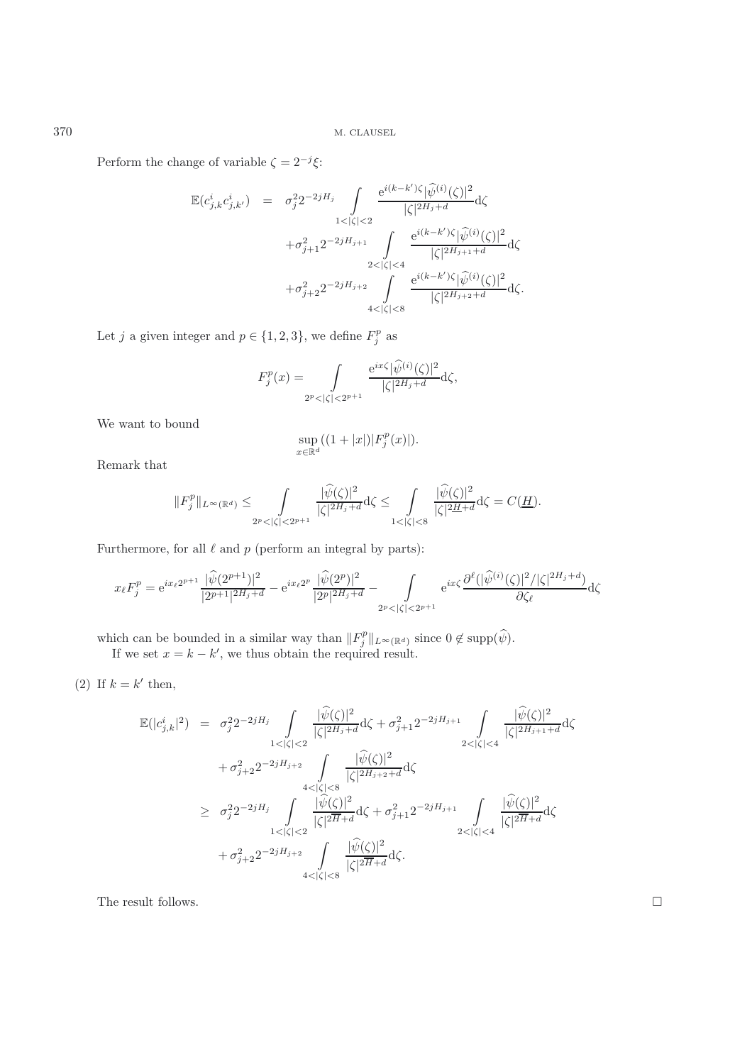Perform the change of variable  $\zeta = 2^{-j}\xi$ :

$$
\mathbb{E}(c_{j,k}^{i}c_{j,k'}^{i}) = \sigma_{j}^{2}2^{-2jH_{j}} \int_{1<|\zeta|<2} \frac{e^{i(k-k')\zeta}|\widehat{\psi}^{(i)}(\zeta)|^{2}}{|\zeta|^{2H_{j}+d}} d\zeta \n+ \sigma_{j+1}^{2}2^{-2jH_{j+1}} \int_{2<|\zeta|<4} \frac{e^{i(k-k')\zeta}|\widehat{\psi}^{(i)}(\zeta)|^{2}}{|\zeta|^{2H_{j+1}+d}} d\zeta \n+ \sigma_{j+2}^{2}2^{-2jH_{j+2}} \int_{4<|\zeta|<8} \frac{e^{i(k-k')\zeta}|\widehat{\psi}^{(i)}(\zeta)|^{2}}{|\zeta|^{2H_{j+2}+d}} d\zeta.
$$

Let j a given integer and  $p \in \{1, 2, 3\}$ , we define  $F_i^p$  as

$$
F_j^p(x) = \int_{2^p < |\zeta| < 2^{p+1}} \frac{e^{ix\zeta} |\widehat{\psi}^{(i)}(\zeta)|^2}{|\zeta|^{2H_j + d}} d\zeta,
$$

We want to bound

$$
\sup_{x \in \mathbb{R}^d} ((1+|x|)|F_j^p(x)|).
$$

Remark that

$$
||F_j^p||_{L^{\infty}(\mathbb{R}^d)} \leq \int_{2^p < |\zeta| < 2^{p+1}} \frac{|\widehat{\psi}(\zeta)|^2}{|\zeta|^{2H_j+d}} d\zeta \leq \int_{1 < |\zeta| < 8} \frac{|\widehat{\psi}(\zeta)|^2}{|\zeta|^{2H+d}} d\zeta = C(\underline{H}).
$$

Furthermore, for all  $\ell$  and  $p$  (perform an integral by parts):

$$
x_{\ell}F_{j}^{p} = e^{ix_{\ell}2^{p+1}} \frac{|\widehat{\psi}(2^{p+1})|^{2}}{|2^{p+1}|^{2H_{j}+d}} - e^{ix_{\ell}2^{p}} \frac{|\widehat{\psi}(2^{p})|^{2}}{|2^{p}|^{2H_{j}+d}} - \int_{2^{p} < |\zeta| < 2^{p+1}} e^{ix\zeta} \frac{\partial^{\ell}(|\widehat{\psi}^{(i)}(\zeta)|^{2}/|\zeta|^{2H_{j}+d})}{\partial \zeta_{\ell}} d\zeta
$$

which can be bounded in a similar way than  $||F_j^p||_{L^{\infty}(\mathbb{R}^d)}$  since  $0 \notin \text{supp}(\hat{\psi})$ .<br>If we set  $x = k - k'$ , we thus obtain the required result.

(2) If  $k = k'$  then,

$$
\begin{array}{lcl} \mathbb{E}(|c_{j,k}^i|^2) & = & \sigma_j^2 2^{-2jH_j} \int\limits_{1<|\zeta|<2} \frac{|\widehat{\psi}(\zeta)|^2}{|\zeta|^{2H_j+d}} \mathrm{d}\zeta + \sigma_{j+1}^2 2^{-2jH_{j+1}} \int\limits_{2<|\zeta|<4} \frac{|\widehat{\psi}(\zeta)|^2}{|\zeta|^{2H_{j+1}+d}} \mathrm{d}\zeta \\ & & + \sigma_{j+2}^2 2^{-2jH_{j+2}} \int\limits_{4<|\zeta|<8} \frac{|\widehat{\psi}(\zeta)|^2}{|\zeta|^{2H_{j+2}+d}} \mathrm{d}\zeta \\ & & \geq & \sigma_j^2 2^{-2jH_j} \int\limits_{1<|\zeta|<2} \frac{|\widehat{\psi}(\zeta)|^2}{|\zeta|^{2H}+d} \mathrm{d}\zeta + \sigma_{j+1}^2 2^{-2jH_{j+1}} \int\limits_{2<|\zeta|<4} \frac{|\widehat{\psi}(\zeta)|^2}{|\zeta|^{2H}+d} \mathrm{d}\zeta \\ & & + \sigma_{j+2}^2 2^{-2jH_{j+2}} \int\limits_{4<|\zeta|<8} \frac{|\widehat{\psi}(\zeta)|^2}{|\zeta|^{2H}+d} \mathrm{d}\zeta. \end{array}
$$

The result follows.  $\hfill \square$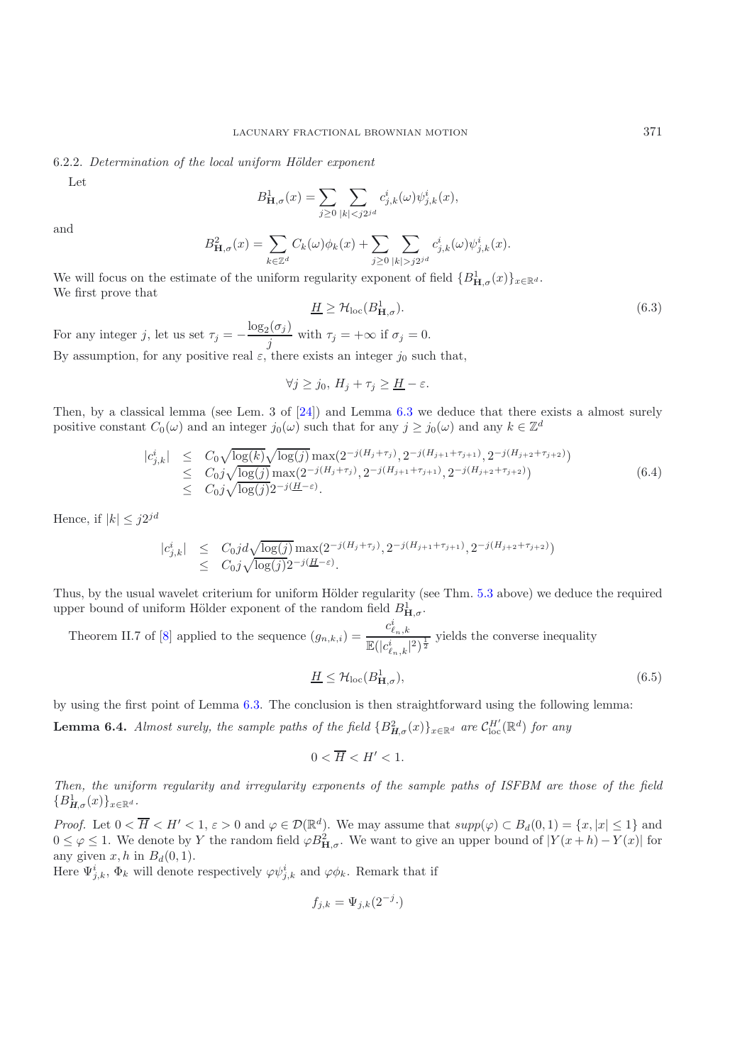#### 6.2.2. *Determination of the local uniform H¨older exponent*

Let

$$
B_{\mathbf{H},\sigma}^1(x)=\sum_{j\geq 0}\sum_{|k|
$$

and

$$
B_{\mathbf{H},\sigma}^2(x) = \sum_{k \in \mathbb{Z}^d} C_k(\omega) \phi_k(x) + \sum_{j \ge 0} \sum_{|k| > j2^{jd}} c_{j,k}^i(\omega) \psi_{j,k}^i(x).
$$

We will focus on the estimate of the uniform regularity exponent of field  ${B<sup>1</sup><sub>\mathbf{H},\sigma</sub>(x)}_{x \in \mathbb{R}^d}$ . We first prove that

$$
\underline{H} \ge \mathcal{H}_{\text{loc}}(B_{\mathbf{H},\sigma}^{1}).\tag{6.3}
$$
\nFor any integer  $j$ , let us set  $\tau_{j} = -\frac{\log_{2}(\sigma_{j})}{j}$  with  $\tau_{j} = +\infty$  if  $\sigma_{j} = 0$ .

By assumption, for any positive real  $\varepsilon$ , there exists an integer  $j_0$  such that,

$$
\forall j \geq j_0, H_j + \tau_j \geq \underline{H} - \varepsilon.
$$

Then, by a classical lemma (see Lem. 3 of  $[24]$ ) and Lemma [6.3](#page-17-0) we deduce that there exists a almost surely positive constant  $C_0(\omega)$  and an integer  $j_0(\omega)$  such that for any  $j \geq j_0(\omega)$  and any  $k \in \mathbb{Z}^d$ 

$$
|c_{j,k}^i| \leq C_0 \sqrt{\log(k)} \sqrt{\log(j)} \max(2^{-j(H_j + \tau_j)}, 2^{-j(H_{j+1} + \tau_{j+1})}, 2^{-j(H_{j+2} + \tau_{j+2})})
$$
  
\n
$$
\leq C_0 j \sqrt{\log(j)} \max(2^{-j(H_j + \tau_j)}, 2^{-j(H_{j+1} + \tau_{j+1})}, 2^{-j(H_{j+2} + \tau_{j+2})})
$$
  
\n
$$
\leq C_0 j \sqrt{\log(j)} 2^{-j(H - \varepsilon)}.
$$
\n(6.4)

<span id="page-19-0"></span>Hence, if  $|k| \leq j2^{jd}$ 

$$
|c_{j,k}^i| \leq C_0 j d \sqrt{\log(j)} \max(2^{-j(H_j + \tau_j)}, 2^{-j(H_{j+1} + \tau_{j+1})}, 2^{-j(H_{j+2} + \tau_{j+2})})
$$
  
 
$$
\leq C_0 j \sqrt{\log(j)} 2^{-j(H - \varepsilon)}.
$$

Thus, by the usual wavelet criterium for uniform Hölder regularity (see Thm. [5.3](#page-10-0) above) we deduce the required upper bound of uniform Hölder exponent of the random field  $B_{\mathbf{H},\sigma}^1$ .

Theorem II.7 of [\[8\]](#page-21-14) applied to the sequence  $(g_{n,k,i}) =$  $c_{\ell_n,k}^i$  $\frac{c_{n,k}}{\mathbb{E}(|c_{\ell_n,k}^i|^2)^{\frac{1}{2}}}$  yields the converse inequality

$$
\underline{H} \le \mathcal{H}_{\text{loc}}(B^1_{\mathbf{H},\sigma}),\tag{6.5}
$$

by using the first point of Lemma [6.3.](#page-17-0) The conclusion is then straightforward using the following lemma:

**Lemma 6.4.** *Almost surely, the sample paths of the field*  ${B_{H,\sigma}^2(x)}_{x \in \mathbb{R}^d}$  *are*  $C_{loc}^{H'}(\mathbb{R}^d)$  *for any* 

$$
0 < \overline{H} < H' < 1.
$$

*Then, the uniform regularity and irregularity exponents of the sample paths of ISFBM are those of the field*  ${B^1_{H,\sigma}(x)}_{x\in\mathbb{R}^d}$ .

*Proof.* Let  $0 < \overline{H} < H' < 1$ ,  $\varepsilon > 0$  and  $\varphi \in \mathcal{D}(\mathbb{R}^d)$ . We may assume that  $supp(\varphi) \subset B_d(0, 1) = \{x, |x| \leq 1\}$  and  $0 \leq \varphi \leq 1$ . We denote by Y the random field  $\varphi B_{\mathbf{H},\sigma}^2$ . We want to give an upper bound of  $|Y(x+h) - Y(x)|$  for any given  $x, h$  in  $B_d(0, 1)$ .

Here  $\Psi_{i,k}^i$ ,  $\Phi_k$  will denote respectively  $\varphi \psi_{i,k}^i$  and  $\varphi \phi_k$ . Remark that if

$$
f_{j,k} = \Psi_{j,k}(2^{-j} \cdot)
$$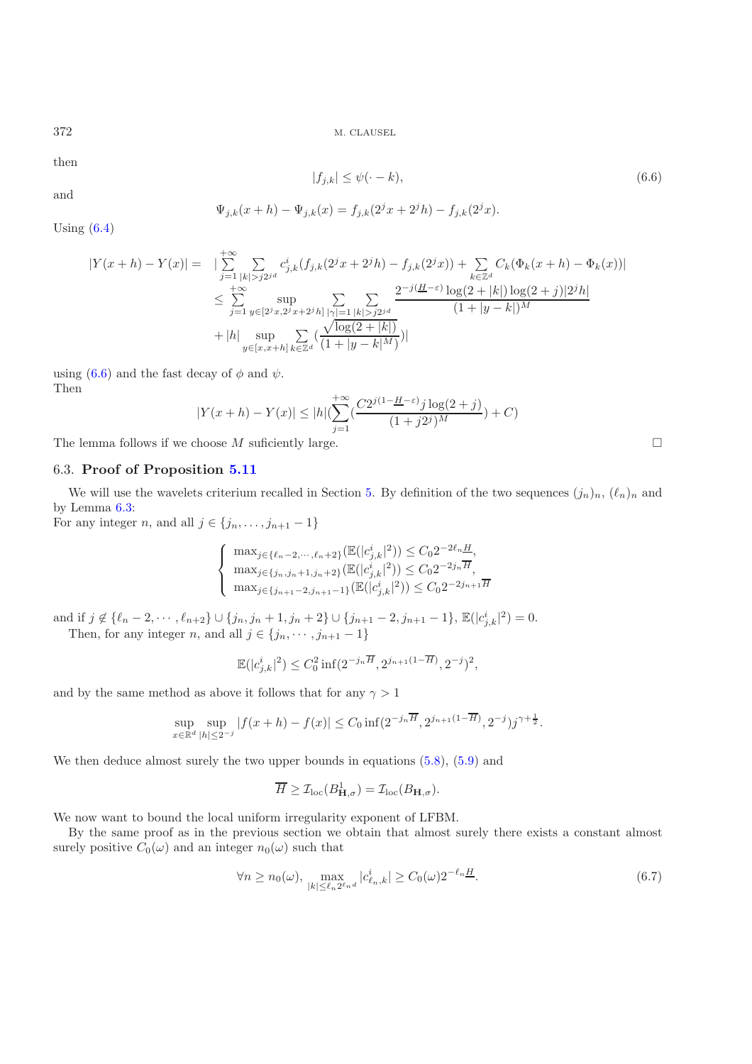then

$$
|f_{j,k}| \le \psi(\cdot - k),\tag{6.6}
$$

and

<span id="page-20-1"></span>
$$
\Psi_{j,k}(x+h) - \Psi_{j,k}(x) = f_{j,k}(2^{j}x + 2^{j}h) - f_{j,k}(2^{j}x).
$$

Using  $(6.4)$ 

$$
|Y(x+h) - Y(x)| = \sum_{j=1}^{+\infty} \sum_{|k| > j2^{jd}} c_{j,k}^i (f_{j,k}(2^j x + 2^j h) - f_{j,k}(2^j x)) + \sum_{k \in \mathbb{Z}^d} C_k (\Phi_k(x+h) - \Phi_k(x))|
$$
  

$$
\leq \sum_{j=1}^{+\infty} \sup_{y \in [2^j x, 2^j x + 2^j h]} \sum_{|\gamma| = 1} \sum_{|k| > j2^{jd}} \frac{2^{-j(H-\varepsilon)} \log(2 + |k|) \log(2 + j)|2^j h|}{(1 + |y - k|)^M}
$$
  
+ |h| 
$$
\sup_{y \in [x, x+h]} \sum_{k \in \mathbb{Z}^d} (\frac{\sqrt{\log(2 + |k|)}}{(1 + |y - k|^M)})
$$

using [\(6.6\)](#page-20-1) and the fast decay of  $\phi$  and  $\psi$ . Then

$$
|Y(x+h) - Y(x)| \le |h|(\sum_{j=1}^{+\infty} \left(\frac{C2^{j(1-\underline{H}-\varepsilon)}j \log(2+j)}{(1+j2^j)^M}\right) + C)
$$

<span id="page-20-0"></span>The lemma follows if we choose  $M$  suficiently large.

## 6.3. **Proof of Proposition [5.11](#page-14-0)**

We will use the wavelets criterium recalled in Section [5.](#page-9-0) By definition of the two sequences  $(j_n)_n$ ,  $(\ell_n)_n$  and by Lemma [6.3:](#page-17-0)

For any integer n, and all  $j \in \{j_n, \ldots, j_{n+1} - 1\}$ 

$$
\begin{cases}\n\max_{j \in \{\ell_n - 2, \dots, \ell_n + 2\}} (\mathbb{E}(|c_{j,k}^i|^2)) \le C_0 2^{-2\ell_n} \frac{H}{H}, \\
\max_{j \in \{j_n, j_n + 1, j_n + 2\}} (\mathbb{E}(|c_{j,k}^i|^2)) \le C_0 2^{-2j_n} \overline{H}, \\
\max_{j \in \{j_{n+1} - 2, j_{n+1} - 1\}} (\mathbb{E}(|c_{j,k}^i|^2)) \le C_0 2^{-2j_{n+1} \overline{H}}\n\end{cases}
$$

and if  $j \notin {\ell_n - 2, \dots, \ell_{n+2}} \cup {\{j_n, j_n + 1, j_n + 2\}} \cup {\{j_{n+1} - 2, j_{n+1} - 1\}}, \mathbb{E}(|c^i_{j,k}|^2) = 0.$ Then, for any integer *n*, and all  $j \in \{j_n, \dots, j_{n+1} - 1\}$ 

$$
\mathbb{E}(|c_{j,k}^i|^2) \le C_0^2 \inf(2^{-j_n \overline{H}}, 2^{j_{n+1}(1-\overline{H})}, 2^{-j})^2,
$$

and by the same method as above it follows that for any  $\gamma > 1$ 

$$
\sup_{x \in \mathbb{R}^d} \sup_{|h| \le 2^{-j}} |f(x+h) - f(x)| \le C_0 \inf(2^{-j_n \overline{H}}, 2^{j_{n+1}(1-\overline{H})}, 2^{-j})j^{\gamma + \frac{1}{2}}.
$$

We then deduce almost surely the two upper bounds in equations  $(5.8)$ ,  $(5.9)$  and

$$
\overline{H} \geq \mathcal{I}_{\text{loc}}(B_{\mathbf{H},\sigma}^1) = \mathcal{I}_{\text{loc}}(B_{\mathbf{H},\sigma}).
$$

We now want to bound the local uniform irregularity exponent of LFBM.

By the same proof as in the previous section we obtain that almost surely there exists a constant almost surely positive  $C_0(\omega)$  and an integer  $n_0(\omega)$  such that

<span id="page-20-2"></span>
$$
\forall n \ge n_0(\omega), \max_{|k| \le \ell_n 2^{\ell_n} d} |c_{\ell_n,k}^i| \ge C_0(\omega) 2^{-\ell_n}.
$$
\n(6.7)

 $\Box$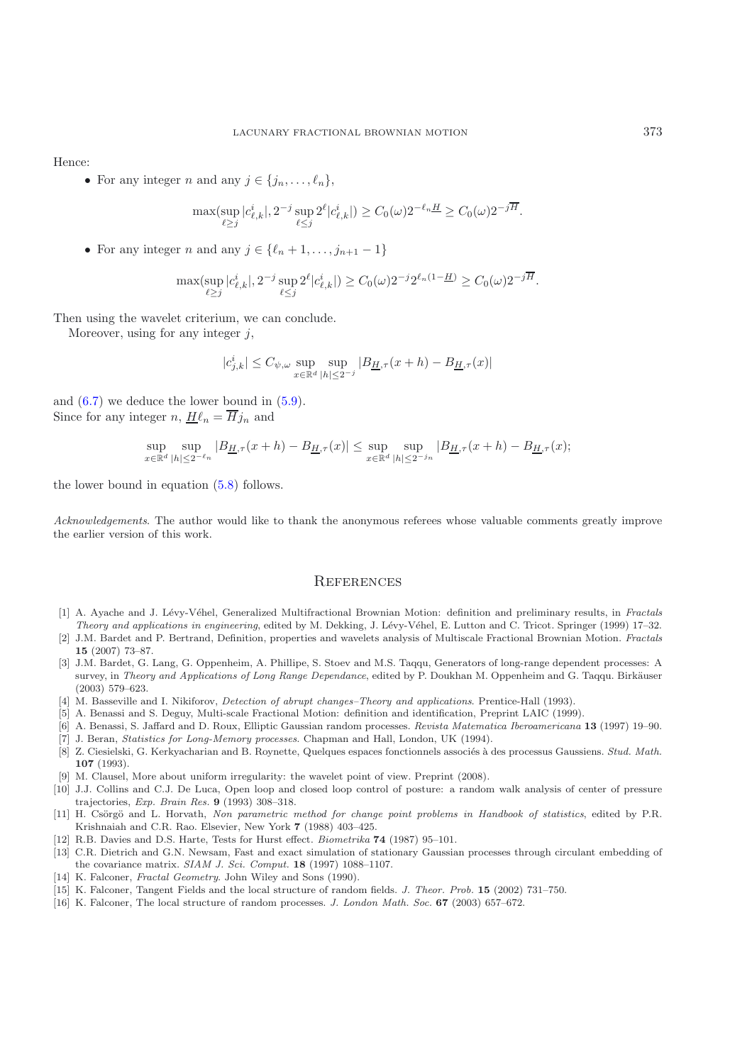Hence:

• For any integer *n* and any  $j \in \{j_n, \ldots, \ell_n\},\$ 

$$
\max(\sup_{\ell \ge j} |c_{\ell,k}^i|, 2^{-j} \sup_{\ell \le j} 2^{\ell} |c_{\ell,k}^i|) \ge C_0(\omega) 2^{-\ell_n} \le C_0(\omega) 2^{-j\overline{H}}.
$$

• For any integer *n* and any  $j \in \{\ell_n + 1, \ldots, j_{n+1} - 1\}$ 

$$
\max(\sup_{\ell \ge j} |c_{\ell,k}^i|, 2^{-j} \sup_{\ell \le j} 2^{\ell} |c_{\ell,k}^i|) \ge C_0(\omega) 2^{-j} 2^{\ell_n(1-\underline{H})} \ge C_0(\omega) 2^{-j\overline{H}}.
$$

Then using the wavelet criterium, we can conclude.

Moreover, using for any integer  $i$ ,

$$
|c_{j,k}^i|\leq C_{\psi,\omega}\sup_{x\in\mathbb{R}^d}\sup_{|h|\leq 2^{-j}}|B_{\underline{H},\tau}(x+h)-B_{\underline{H},\tau}(x)|
$$

and  $(6.7)$  we deduce the lower bound in  $(5.9)$ . Since for any integer n,  $H\ell_n = \overline{H}j_n$  and

$$
\sup_{x \in \mathbb{R}^d} \sup_{|h| \le 2^{-\ell_n}} |B_{\underline{H},\tau}(x+h) - B_{\underline{H},\tau}(x)| \le \sup_{x \in \mathbb{R}^d} \sup_{|h| \le 2^{-j_n}} |B_{\underline{H},\tau}(x+h) - B_{\underline{H},\tau}(x);
$$

the lower bound in equation [\(5.8\)](#page-14-1) follows.

*Acknowledgements*. The author would like to thank the anonymous referees whose valuable comments greatly improve the earlier version of this work.

## **REFERENCES**

- <span id="page-21-9"></span>[1] A. Ayache and J. L´evy-V´ehel, Generalized Multifractional Brownian Motion: definition and preliminary results, in *Fractals Theory and applications in engineering*, edited by M. Dekking, J. Lévy-Véhel, E. Lutton and C. Tricot. Springer (1999) 17–32.
- <span id="page-21-3"></span>[2] J.M. Bardet and P. Bertrand, Definition, properties and wavelets analysis of Multiscale Fractional Brownian Motion. *Fractals* **15** (2007) 73–87.
- <span id="page-21-12"></span>[3] J.M. Bardet, G. Lang, G. Oppenheim, A. Phillipe, S. Stoev and M.S. Taqqu, Generators of long-range dependent processes: A survey, in *Theory and Applications of Long Range Dependance*, edited by P. Doukhan M. Oppenheim and G. Taqqu. Birkäuser (2003) 579–623.
- <span id="page-21-8"></span>[4] M. Basseville and I. Nikiforov, *Detection of abrupt changes–Theory and applications*. Prentice-Hall (1993).
- <span id="page-21-6"></span>[5] A. Benassi and S. Deguy, Multi-scale Fractional Motion: definition and identification, Preprint LAIC (1999).
- <span id="page-21-2"></span>[6] A. Benassi, S. Jaffard and D. Roux, Elliptic Gaussian random processes. *Revista Matematica Iberoamericana* **13** (1997) 19–90.
- [7] J. Beran, *Statistics for Long-Memory processes*. Chapman and Hall, London, UK (1994).
- <span id="page-21-14"></span><span id="page-21-4"></span>[8] Z. Ciesielski, G. Kerkyacharian and B. Roynette, Quelques espaces fonctionnels associ´es `a des processus Gaussiens. *Stud. Math.* **107** (1993).
- [9] M. Clausel, More about uniform irregularity: the wavelet point of view. Preprint (2008).
- <span id="page-21-13"></span><span id="page-21-5"></span>[10] J.J. Collins and C.J. De Luca, Open loop and closed loop control of posture: a random walk analysis of center of pressure trajectories, *Exp. Brain Res.* **9** (1993) 308–318.
- <span id="page-21-7"></span>[11] H. Csörgö and L. Horvath, *Non parametric method for change point problems in Handbook of statistics*, edited by P.R. Krishnaiah and C.R. Rao. Elsevier, New York **7** (1988) 403–425.
- [12] R.B. Davies and D.S. Harte, Tests for Hurst effect. *Biometrika* **74** (1987) 95–101.
- <span id="page-21-11"></span><span id="page-21-10"></span>[13] C.R. Dietrich and G.N. Newsam, Fast and exact simulation of stationary Gaussian processes through circulant embedding of the covariance matrix. *SIAM J. Sci. Comput.* **18** (1997) 1088–1107.
- [14] K. Falconer, *Fractal Geometry*. John Wiley and Sons (1990).
- [15] K. Falconer, Tangent Fields and the local structure of random fields. *J. Theor. Prob.* **15** (2002) 731–750.
- <span id="page-21-1"></span><span id="page-21-0"></span>[16] K. Falconer, The local structure of random processes. *J. London Math. Soc.* **67** (2003) 657–672.